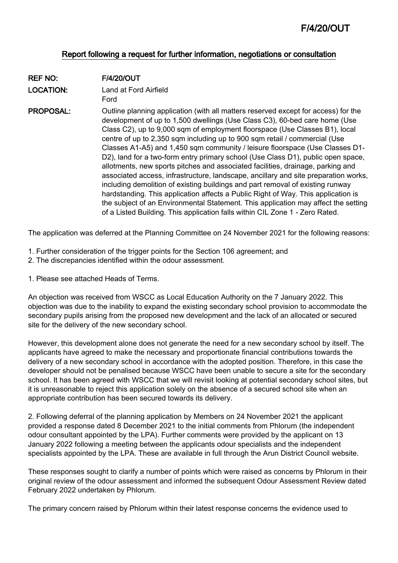## Report following a request for further information, negotiations or consultation

REF NO: F/4/20/OUT LOCATION: Land at Ford Airfield

Ford

PROPOSAL: Outline planning application (with all matters reserved except for access) for the development of up to 1,500 dwellings (Use Class C3), 60-bed care home (Use Class C2), up to 9,000 sqm of employment floorspace (Use Classes B1), local centre of up to 2,350 sqm including up to 900 sqm retail / commercial (Use Classes A1-A5) and 1,450 sqm community / leisure floorspace (Use Classes D1- D2), land for a two-form entry primary school (Use Class D1), public open space, allotments, new sports pitches and associated facilities, drainage, parking and associated access, infrastructure, landscape, ancillary and site preparation works, including demolition of existing buildings and part removal of existing runway hardstanding. This application affects a Public Right of Way. This application is the subject of an Environmental Statement. This application may affect the setting of a Listed Building. This application falls within CIL Zone 1 - Zero Rated.

The application was deferred at the Planning Committee on 24 November 2021 for the following reasons:

- 1. Further consideration of the trigger points for the Section 106 agreement; and
- 2. The discrepancies identified within the odour assessment.
- 1. Please see attached Heads of Terms.

An objection was received from WSCC as Local Education Authority on the 7 January 2022. This objection was due to the inability to expand the existing secondary school provision to accommodate the secondary pupils arising from the proposed new development and the lack of an allocated or secured site for the delivery of the new secondary school.

However, this development alone does not generate the need for a new secondary school by itself. The applicants have agreed to make the necessary and proportionate financial contributions towards the delivery of a new secondary school in accordance with the adopted position. Therefore, in this case the developer should not be penalised because WSCC have been unable to secure a site for the secondary school. It has been agreed with WSCC that we will revisit looking at potential secondary school sites, but it is unreasonable to reject this application solely on the absence of a secured school site when an appropriate contribution has been secured towards its delivery.

2. Following deferral of the planning application by Members on 24 November 2021 the applicant provided a response dated 8 December 2021 to the initial comments from Phlorum (the independent odour consultant appointed by the LPA). Further comments were provided by the applicant on 13 January 2022 following a meeting between the applicants odour specialists and the independent specialists appointed by the LPA. These are available in full through the Arun District Council website.

These responses sought to clarify a number of points which were raised as concerns by Phlorum in their original review of the odour assessment and informed the subsequent Odour Assessment Review dated February 2022 undertaken by Phlorum.

The primary concern raised by Phlorum within their latest response concerns the evidence used to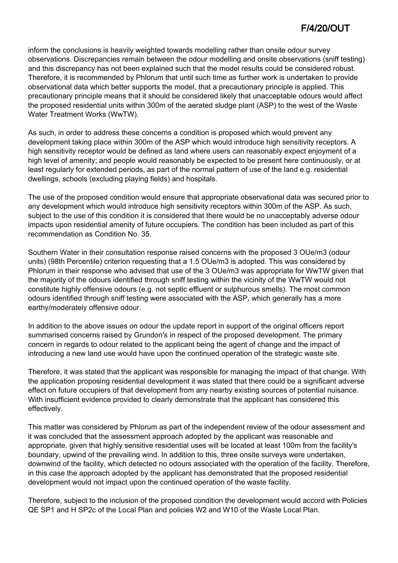inform the conclusions is heavily weighted towards modelling rather than onsite odour survey observations. Discrepancies remain between the odour modelling and onsite observations (sniff testing) and this discrepancy has not been explained such that the model results could be considered robust. Therefore, it is recommended by Phlorum that until such time as further work is undertaken to provide observational data which better supports the model, that a precautionary principle is applied. This precautionary principle means that it should be considered likely that unacceptable odours would affect the proposed residential units within 300m of the aerated sludge plant (ASP) to the west of the Waste Water Treatment Works (WwTW).

As such, in order to address these concerns a condition is proposed which would prevent any development taking place within 300m of the ASP which would introduce high sensitivity receptors. A high sensitivity receptor would be defined as land where users can reasonably expect enjoyment of a high level of amenity; and people would reasonably be expected to be present here continuously, or at least regularly for extended periods, as part of the normal pattern of use of the land e.g. residential dwellings, schools (excluding playing fields) and hospitals.

The use of the proposed condition would ensure that appropriate observational data was secured prior to any development which would introduce high sensitivity receptors within 300m of the ASP. As such, subject to the use of this condition it is considered that there would be no unacceptably adverse odour impacts upon residential amenity of future occupiers. The condition has been included as part of this recommendation as Condition No. 35.

Southern Water in their consultation response raised concerns with the proposed 3 OUe/m3 (odour units) (98th Percentile) criterion requesting that a 1.5 OUe/m3 is adopted. This was considered by Phlorum in their response who advised that use of the 3 OUe/m3 was appropriate for WwTW given that the majority of the odours identified through sniff testing within the vicinity of the WwTW would not constitute highly offensive odours (e.g. not septic effluent or sulphurous smells). The most common odours identified through sniff testing were associated with the ASP, which generally has a more earthy/moderately offensive odour.

In addition to the above issues on odour the update report in support of the original officers report summarised concerns raised by Grundon's in respect of the proposed development. The primary concern in regards to odour related to the applicant being the agent of change and the impact of introducing a new land use would have upon the continued operation of the strategic waste site.

Therefore, it was stated that the applicant was responsible for managing the impact of that change. With the application proposing residential development it was stated that there could be a significant adverse effect on future occupiers of that development from any nearby existing sources of potential nuisance. With insufficient evidence provided to clearly demonstrate that the applicant has considered this effectively.

This matter was considered by Phlorum as part of the independent review of the odour assessment and it was concluded that the assessment approach adopted by the applicant was reasonable and appropriate, given that highly sensitive residential uses will be located at least 100m from the facility's boundary, upwind of the prevailing wind. In addition to this, three onsite surveys were undertaken, downwind of the facility, which detected no odours associated with the operation of the facility. Therefore, in this case the approach adopted by the applicant has demonstrated that the proposed residential development would not impact upon the continued operation of the waste facility.

Therefore, subject to the inclusion of the proposed condition the development would accord with Policies QE SP1 and H SP2c of the Local Plan and policies W2 and W10 of the Waste Local Plan.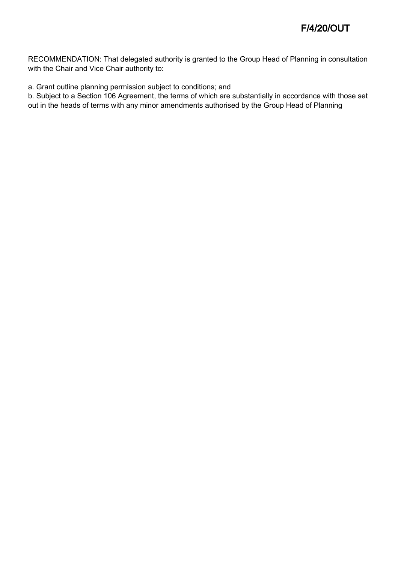RECOMMENDATION: That delegated authority is granted to the Group Head of Planning in consultation with the Chair and Vice Chair authority to:

a. Grant outline planning permission subject to conditions; and

b. Subject to a Section 106 Agreement, the terms of which are substantially in accordance with those set out in the heads of terms with any minor amendments authorised by the Group Head of Planning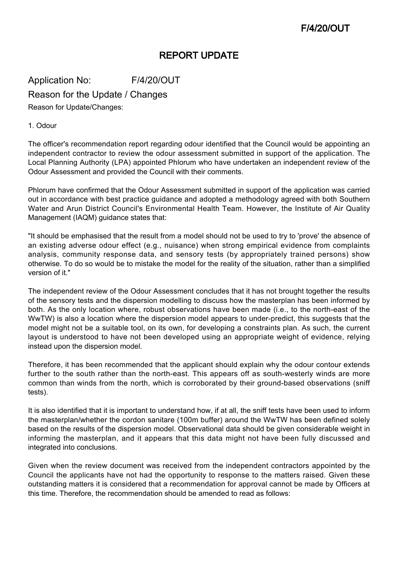## REPORT UPDATE

Application No: F/4/20/OUT

Reason for the Update / Changes

Reason for Update/Changes:

1. Odour

The officer's recommendation report regarding odour identified that the Council would be appointing an independent contractor to review the odour assessment submitted in support of the application. The Local Planning Authority (LPA) appointed Phlorum who have undertaken an independent review of the Odour Assessment and provided the Council with their comments.

Phlorum have confirmed that the Odour Assessment submitted in support of the application was carried out in accordance with best practice guidance and adopted a methodology agreed with both Southern Water and Arun District Council's Environmental Health Team. However, the Institute of Air Quality Management (IAQM) guidance states that:

"It should be emphasised that the result from a model should not be used to try to 'prove' the absence of an existing adverse odour effect (e.g., nuisance) when strong empirical evidence from complaints analysis, community response data, and sensory tests (by appropriately trained persons) show otherwise. To do so would be to mistake the model for the reality of the situation, rather than a simplified version of it."

The independent review of the Odour Assessment concludes that it has not brought together the results of the sensory tests and the dispersion modelling to discuss how the masterplan has been informed by both. As the only location where, robust observations have been made (i.e., to the north-east of the WwTW) is also a location where the dispersion model appears to under-predict, this suggests that the model might not be a suitable tool, on its own, for developing a constraints plan. As such, the current layout is understood to have not been developed using an appropriate weight of evidence, relying instead upon the dispersion model.

Therefore, it has been recommended that the applicant should explain why the odour contour extends further to the south rather than the north-east. This appears off as south-westerly winds are more common than winds from the north, which is corroborated by their ground-based observations (sniff tests).

It is also identified that it is important to understand how, if at all, the sniff tests have been used to inform the masterplan/whether the cordon sanitare (100m buffer) around the WwTW has been defined solely based on the results of the dispersion model. Observational data should be given considerable weight in informing the masterplan, and it appears that this data might not have been fully discussed and integrated into conclusions.

Given when the review document was received from the independent contractors appointed by the Council the applicants have not had the opportunity to response to the matters raised. Given these outstanding matters it is considered that a recommendation for approval cannot be made by Officers at this time. Therefore, the recommendation should be amended to read as follows: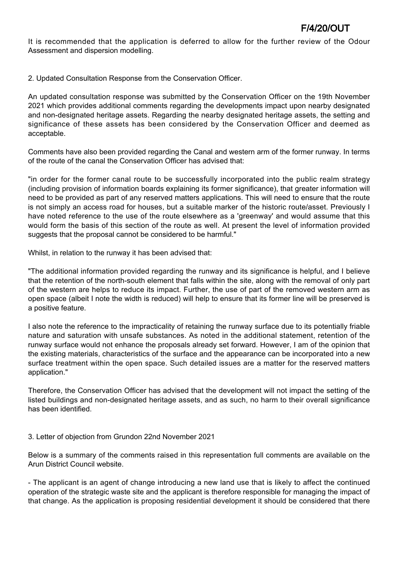It is recommended that the application is deferred to allow for the further review of the Odour Assessment and dispersion modelling.

2. Updated Consultation Response from the Conservation Officer.

An updated consultation response was submitted by the Conservation Officer on the 19th November 2021 which provides additional comments regarding the developments impact upon nearby designated and non-designated heritage assets. Regarding the nearby designated heritage assets, the setting and significance of these assets has been considered by the Conservation Officer and deemed as acceptable.

Comments have also been provided regarding the Canal and western arm of the former runway. In terms of the route of the canal the Conservation Officer has advised that:

"in order for the former canal route to be successfully incorporated into the public realm strategy (including provision of information boards explaining its former significance), that greater information will need to be provided as part of any reserved matters applications. This will need to ensure that the route is not simply an access road for houses, but a suitable marker of the historic route/asset. Previously I have noted reference to the use of the route elsewhere as a 'greenway' and would assume that this would form the basis of this section of the route as well. At present the level of information provided suggests that the proposal cannot be considered to be harmful."

Whilst, in relation to the runway it has been advised that:

"The additional information provided regarding the runway and its significance is helpful, and I believe that the retention of the north-south element that falls within the site, along with the removal of only part of the western are helps to reduce its impact. Further, the use of part of the removed western arm as open space (albeit I note the width is reduced) will help to ensure that its former line will be preserved is a positive feature.

I also note the reference to the impracticality of retaining the runway surface due to its potentially friable nature and saturation with unsafe substances. As noted in the additional statement, retention of the runway surface would not enhance the proposals already set forward. However, I am of the opinion that the existing materials, characteristics of the surface and the appearance can be incorporated into a new surface treatment within the open space. Such detailed issues are a matter for the reserved matters application."

Therefore, the Conservation Officer has advised that the development will not impact the setting of the listed buildings and non-designated heritage assets, and as such, no harm to their overall significance has been identified.

### 3. Letter of objection from Grundon 22nd November 2021

Below is a summary of the comments raised in this representation full comments are available on the Arun District Council website.

- The applicant is an agent of change introducing a new land use that is likely to affect the continued operation of the strategic waste site and the applicant is therefore responsible for managing the impact of that change. As the application is proposing residential development it should be considered that there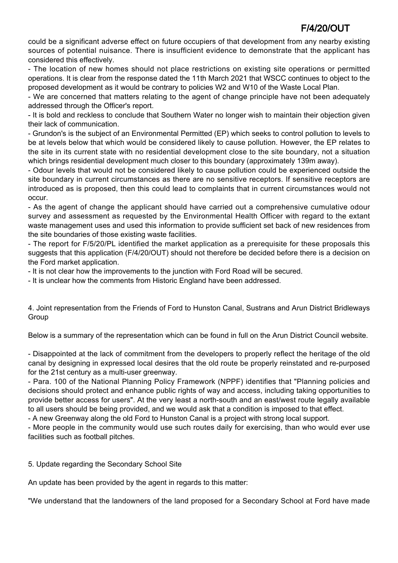could be a significant adverse effect on future occupiers of that development from any nearby existing sources of potential nuisance. There is insufficient evidence to demonstrate that the applicant has considered this effectively.

- The location of new homes should not place restrictions on existing site operations or permitted operations. It is clear from the response dated the 11th March 2021 that WSCC continues to object to the proposed development as it would be contrary to policies W2 and W10 of the Waste Local Plan.

- We are concerned that matters relating to the agent of change principle have not been adequately addressed through the Officer's report.

- It is bold and reckless to conclude that Southern Water no longer wish to maintain their objection given their lack of communication.

- Grundon's is the subject of an Environmental Permitted (EP) which seeks to control pollution to levels to be at levels below that which would be considered likely to cause pollution. However, the EP relates to the site in its current state with no residential development close to the site boundary, not a situation which brings residential development much closer to this boundary (approximately 139m away).

- Odour levels that would not be considered likely to cause pollution could be experienced outside the site boundary in current circumstances as there are no sensitive receptors. If sensitive receptors are introduced as is proposed, then this could lead to complaints that in current circumstances would not occur.

- As the agent of change the applicant should have carried out a comprehensive cumulative odour survey and assessment as requested by the Environmental Health Officer with regard to the extant waste management uses and used this information to provide sufficient set back of new residences from the site boundaries of those existing waste facilities.

- The report for F/5/20/PL identified the market application as a prerequisite for these proposals this suggests that this application (F/4/20/OUT) should not therefore be decided before there is a decision on the Ford market application.

- It is not clear how the improvements to the junction with Ford Road will be secured.

- It is unclear how the comments from Historic England have been addressed.

4. Joint representation from the Friends of Ford to Hunston Canal, Sustrans and Arun District Bridleways Group

Below is a summary of the representation which can be found in full on the Arun District Council website.

- Disappointed at the lack of commitment from the developers to properly reflect the heritage of the old canal by designing in expressed local desires that the old route be properly reinstated and re-purposed for the 21st century as a multi-user greenway.

- Para. 100 of the National Planning Policy Framework (NPPF) identifies that "Planning policies and decisions should protect and enhance public rights of way and access, including taking opportunities to provide better access for users". At the very least a north-south and an east/west route legally available to all users should be being provided, and we would ask that a condition is imposed to that effect.

- A new Greenway along the old Ford to Hunston Canal is a project with strong local support.

- More people in the community would use such routes daily for exercising, than who would ever use facilities such as football pitches.

5. Update regarding the Secondary School Site

An update has been provided by the agent in regards to this matter:

"We understand that the landowners of the land proposed for a Secondary School at Ford have made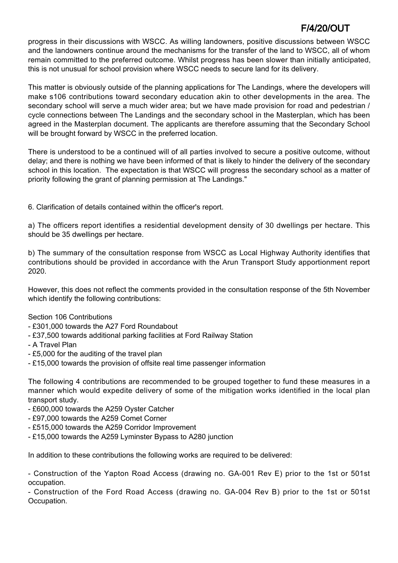progress in their discussions with WSCC. As willing landowners, positive discussions between WSCC and the landowners continue around the mechanisms for the transfer of the land to WSCC, all of whom remain committed to the preferred outcome. Whilst progress has been slower than initially anticipated, this is not unusual for school provision where WSCC needs to secure land for its delivery.

This matter is obviously outside of the planning applications for The Landings, where the developers will make s106 contributions toward secondary education akin to other developments in the area. The secondary school will serve a much wider area; but we have made provision for road and pedestrian / cycle connections between The Landings and the secondary school in the Masterplan, which has been agreed in the Masterplan document. The applicants are therefore assuming that the Secondary School will be brought forward by WSCC in the preferred location.

There is understood to be a continued will of all parties involved to secure a positive outcome, without delay; and there is nothing we have been informed of that is likely to hinder the delivery of the secondary school in this location. The expectation is that WSCC will progress the secondary school as a matter of priority following the grant of planning permission at The Landings."

6. Clarification of details contained within the officer's report.

a) The officers report identifies a residential development density of 30 dwellings per hectare. This should be 35 dwellings per hectare.

b) The summary of the consultation response from WSCC as Local Highway Authority identifies that contributions should be provided in accordance with the Arun Transport Study apportionment report 2020.

However, this does not reflect the comments provided in the consultation response of the 5th November which identify the following contributions:

Section 106 Contributions

- £301,000 towards the A27 Ford Roundabout
- £37,500 towards additional parking facilities at Ford Railway Station
- A Travel Plan
- £5,000 for the auditing of the travel plan
- £15,000 towards the provision of offsite real time passenger information

The following 4 contributions are recommended to be grouped together to fund these measures in a manner which would expedite delivery of some of the mitigation works identified in the local plan transport study.

- £600,000 towards the A259 Oyster Catcher
- £97,000 towards the A259 Comet Corner
- £515,000 towards the A259 Corridor Improvement
- £15,000 towards the A259 Lyminster Bypass to A280 junction

In addition to these contributions the following works are required to be delivered:

- Construction of the Yapton Road Access (drawing no. GA-001 Rev E) prior to the 1st or 501st occupation.

- Construction of the Ford Road Access (drawing no. GA-004 Rev B) prior to the 1st or 501st Occupation.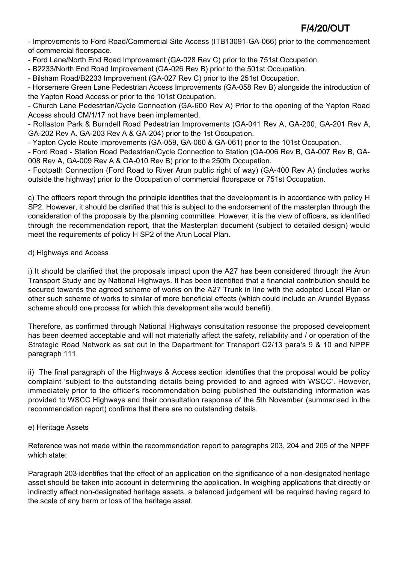- Improvements to Ford Road/Commercial Site Access (ITB13091-GA-066) prior to the commencement of commercial floorspace.

- Ford Lane/North End Road Improvement (GA-028 Rev C) prior to the 751st Occupation.

- B2233/North End Road Improvement (GA-026 Rev B) prior to the 501st Occupation.

- Bilsham Road/B2233 Improvement (GA-027 Rev C) prior to the 251st Occupation.

- Horsemere Green Lane Pedestrian Access Improvements (GA-058 Rev B) alongside the introduction of the Yapton Road Access or prior to the 101st Occupation.

- Church Lane Pedestrian/Cycle Connection (GA-600 Rev A) Prior to the opening of the Yapton Road Access should CM/1/17 not have been implemented.

- Rollaston Park & Burndell Road Pedestrian Improvements (GA-041 Rev A, GA-200, GA-201 Rev A, GA-202 Rev A. GA-203 Rev A & GA-204) prior to the 1st Occupation.

- Yapton Cycle Route Improvements (GA-059, GA-060 & GA-061) prior to the 101st Occupation.

- Ford Road - Station Road Pedestrian/Cycle Connection to Station (GA-006 Rev B, GA-007 Rev B, GA-008 Rev A, GA-009 Rev A & GA-010 Rev B) prior to the 250th Occupation.

- Footpath Connection (Ford Road to River Arun public right of way) (GA-400 Rev A) (includes works outside the highway) prior to the Occupation of commercial floorspace or 751st Occupation.

c) The officers report through the principle identifies that the development is in accordance with policy H SP2. However, it should be clarified that this is subject to the endorsement of the masterplan through the consideration of the proposals by the planning committee. However, it is the view of officers, as identified through the recommendation report, that the Masterplan document (subject to detailed design) would meet the requirements of policy H SP2 of the Arun Local Plan.

### d) Highways and Access

i) It should be clarified that the proposals impact upon the A27 has been considered through the Arun Transport Study and by National Highways. It has been identified that a financial contribution should be secured towards the agreed scheme of works on the A27 Trunk in line with the adopted Local Plan or other such scheme of works to similar of more beneficial effects (which could include an Arundel Bypass scheme should one process for which this development site would benefit).

Therefore, as confirmed through National Highways consultation response the proposed development has been deemed acceptable and will not materially affect the safety, reliability and / or operation of the Strategic Road Network as set out in the Department for Transport C2/13 para's 9 & 10 and NPPF paragraph 111.

ii) The final paragraph of the Highways & Access section identifies that the proposal would be policy complaint 'subject to the outstanding details being provided to and agreed with WSCC'. However, immediately prior to the officer's recommendation being published the outstanding information was provided to WSCC Highways and their consultation response of the 5th November (summarised in the recommendation report) confirms that there are no outstanding details.

## e) Heritage Assets

Reference was not made within the recommendation report to paragraphs 203, 204 and 205 of the NPPF which state:

Paragraph 203 identifies that the effect of an application on the significance of a non-designated heritage asset should be taken into account in determining the application. In weighing applications that directly or indirectly affect non-designated heritage assets, a balanced judgement will be required having regard to the scale of any harm or loss of the heritage asset.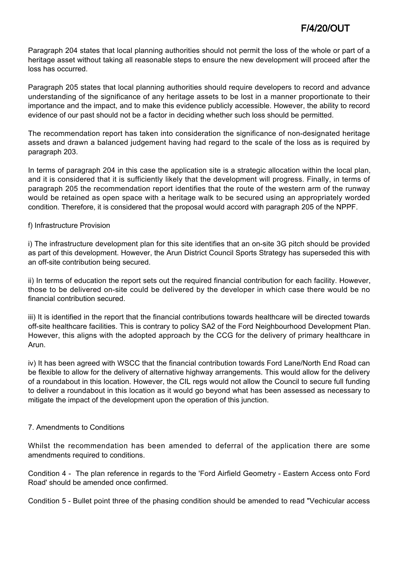Paragraph 204 states that local planning authorities should not permit the loss of the whole or part of a heritage asset without taking all reasonable steps to ensure the new development will proceed after the loss has occurred.

Paragraph 205 states that local planning authorities should require developers to record and advance understanding of the significance of any heritage assets to be lost in a manner proportionate to their importance and the impact, and to make this evidence publicly accessible. However, the ability to record evidence of our past should not be a factor in deciding whether such loss should be permitted.

The recommendation report has taken into consideration the significance of non-designated heritage assets and drawn a balanced judgement having had regard to the scale of the loss as is required by paragraph 203.

In terms of paragraph 204 in this case the application site is a strategic allocation within the local plan, and it is considered that it is sufficiently likely that the development will progress. Finally, in terms of paragraph 205 the recommendation report identifies that the route of the western arm of the runway would be retained as open space with a heritage walk to be secured using an appropriately worded condition. Therefore, it is considered that the proposal would accord with paragraph 205 of the NPPF.

### f) Infrastructure Provision

i) The infrastructure development plan for this site identifies that an on-site 3G pitch should be provided as part of this development. However, the Arun District Council Sports Strategy has superseded this with an off-site contribution being secured.

ii) In terms of education the report sets out the required financial contribution for each facility. However, those to be delivered on-site could be delivered by the developer in which case there would be no financial contribution secured.

iii) It is identified in the report that the financial contributions towards healthcare will be directed towards off-site healthcare facilities. This is contrary to policy SA2 of the Ford Neighbourhood Development Plan. However, this aligns with the adopted approach by the CCG for the delivery of primary healthcare in Arun.

iv) It has been agreed with WSCC that the financial contribution towards Ford Lane/North End Road can be flexible to allow for the delivery of alternative highway arrangements. This would allow for the delivery of a roundabout in this location. However, the CIL regs would not allow the Council to secure full funding to deliver a roundabout in this location as it would go beyond what has been assessed as necessary to mitigate the impact of the development upon the operation of this junction.

## 7. Amendments to Conditions

Whilst the recommendation has been amended to deferral of the application there are some amendments required to conditions.

Condition 4 - The plan reference in regards to the 'Ford Airfield Geometry - Eastern Access onto Ford Road' should be amended once confirmed.

Condition 5 - Bullet point three of the phasing condition should be amended to read "Vechicular access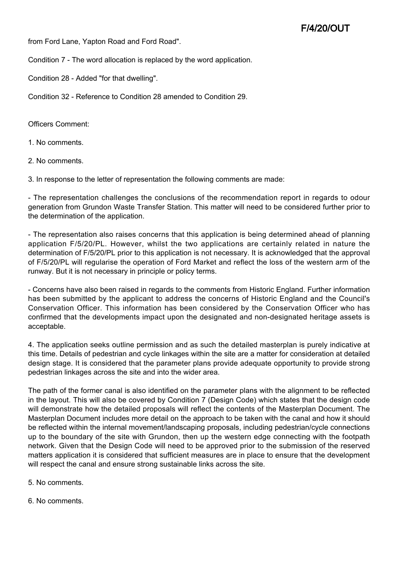from Ford Lane, Yapton Road and Ford Road".

Condition 7 - The word allocation is replaced by the word application.

Condition 28 - Added "for that dwelling".

Condition 32 - Reference to Condition 28 amended to Condition 29.

Officers Comment:

1. No comments.

2. No comments.

3. In response to the letter of representation the following comments are made:

- The representation challenges the conclusions of the recommendation report in regards to odour generation from Grundon Waste Transfer Station. This matter will need to be considered further prior to the determination of the application.

- The representation also raises concerns that this application is being determined ahead of planning application F/5/20/PL. However, whilst the two applications are certainly related in nature the determination of F/5/20/PL prior to this application is not necessary. It is acknowledged that the approval of F/5/20/PL will regularise the operation of Ford Market and reflect the loss of the western arm of the runway. But it is not necessary in principle or policy terms.

- Concerns have also been raised in regards to the comments from Historic England. Further information has been submitted by the applicant to address the concerns of Historic England and the Council's Conservation Officer. This information has been considered by the Conservation Officer who has confirmed that the developments impact upon the designated and non-designated heritage assets is acceptable.

4. The application seeks outline permission and as such the detailed masterplan is purely indicative at this time. Details of pedestrian and cycle linkages within the site are a matter for consideration at detailed design stage. It is considered that the parameter plans provide adequate opportunity to provide strong pedestrian linkages across the site and into the wider area.

The path of the former canal is also identified on the parameter plans with the alignment to be reflected in the layout. This will also be covered by Condition 7 (Design Code) which states that the design code will demonstrate how the detailed proposals will reflect the contents of the Masterplan Document. The Masterplan Document includes more detail on the approach to be taken with the canal and how it should be reflected within the internal movement/landscaping proposals, including pedestrian/cycle connections up to the boundary of the site with Grundon, then up the western edge connecting with the footpath network. Given that the Design Code will need to be approved prior to the submission of the reserved matters application it is considered that sufficient measures are in place to ensure that the development will respect the canal and ensure strong sustainable links across the site.

5. No comments.

6. No comments.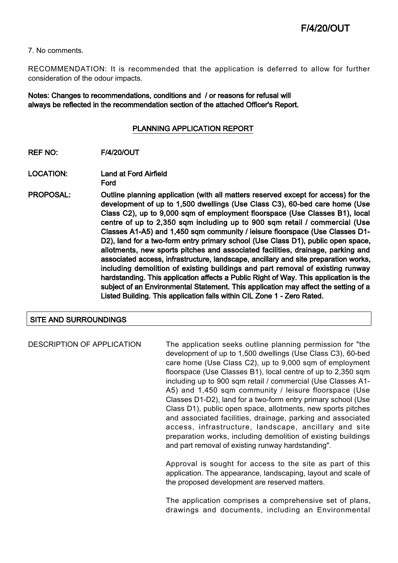7. No comments.

RECOMMENDATION: It is recommended that the application is deferred to allow for further consideration of the odour impacts.

Notes: Changes to recommendations, conditions and / or reasons for refusal will always be reflected in the recommendation section of the attached Officer's Report.

#### PLANNING APPLICATION REPORT

- REF NO: F/4/20/OUT
- LOCATION: Land at Ford Airfield Ford
- PROPOSAL: Outline planning application (with all matters reserved except for access) for the development of up to 1,500 dwellings (Use Class C3), 60-bed care home (Use Class C2), up to 9,000 sqm of employment floorspace (Use Classes B1), local centre of up to 2,350 sqm including up to 900 sqm retail / commercial (Use Classes A1-A5) and 1,450 sqm community / leisure floorspace (Use Classes D1- D2), land for a two-form entry primary school (Use Class D1), public open space, allotments, new sports pitches and associated facilities, drainage, parking and associated access, infrastructure, landscape, ancillary and site preparation works, including demolition of existing buildings and part removal of existing runway hardstanding. This application affects a Public Right of Way. This application is the subject of an Environmental Statement. This application may affect the setting of a Listed Building. This application falls within CIL Zone 1 - Zero Rated.

### SITE AND SURROUNDINGS

DESCRIPTION OF APPLICATION The application seeks outline planning permission for "the development of up to 1,500 dwellings (Use Class C3), 60-bed care home (Use Class C2), up to 9,000 sqm of employment floorspace (Use Classes B1), local centre of up to 2,350 sqm including up to 900 sqm retail / commercial (Use Classes A1- A5) and 1,450 sqm community / leisure floorspace (Use Classes D1-D2), land for a two-form entry primary school (Use Class D1), public open space, allotments, new sports pitches and associated facilities, drainage, parking and associated access, infrastructure, landscape, ancillary and site preparation works, including demolition of existing buildings and part removal of existing runway hardstanding".

> Approval is sought for access to the site as part of this application. The appearance, landscaping, layout and scale of the proposed development are reserved matters.

> The application comprises a comprehensive set of plans, drawings and documents, including an Environmental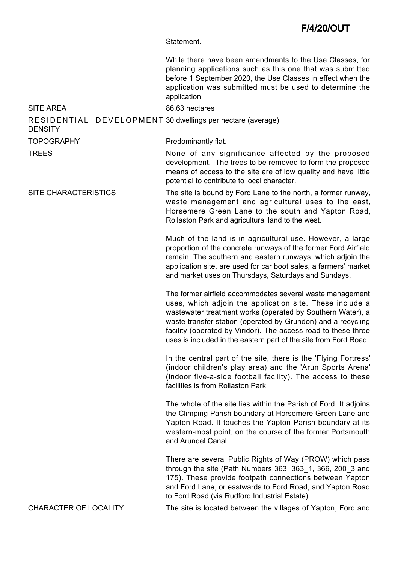Statement.

|                                                                       | While there have been amendments to the Use Classes, for<br>planning applications such as this one that was submitted<br>before 1 September 2020, the Use Classes in effect when the<br>application was submitted must be used to determine the<br>application.                                                                                                                           |  |
|-----------------------------------------------------------------------|-------------------------------------------------------------------------------------------------------------------------------------------------------------------------------------------------------------------------------------------------------------------------------------------------------------------------------------------------------------------------------------------|--|
| <b>SITE AREA</b>                                                      | 86.63 hectares                                                                                                                                                                                                                                                                                                                                                                            |  |
| RESIDENTIAL DEVELOPMENT 30 dwellings per hectare (average)<br>DENSITY |                                                                                                                                                                                                                                                                                                                                                                                           |  |
| <b>TOPOGRAPHY</b>                                                     | Predominantly flat.                                                                                                                                                                                                                                                                                                                                                                       |  |
| TREES                                                                 | None of any significance affected by the proposed<br>development. The trees to be removed to form the proposed<br>means of access to the site are of low quality and have little<br>potential to contribute to local character.                                                                                                                                                           |  |
| <b>SITE CHARACTERISTICS</b>                                           | The site is bound by Ford Lane to the north, a former runway,<br>waste management and agricultural uses to the east,<br>Horsemere Green Lane to the south and Yapton Road,<br>Rollaston Park and agricultural land to the west.                                                                                                                                                           |  |
|                                                                       | Much of the land is in agricultural use. However, a large<br>proportion of the concrete runways of the former Ford Airfield<br>remain. The southern and eastern runways, which adjoin the<br>application site, are used for car boot sales, a farmers' market<br>and market uses on Thursdays, Saturdays and Sundays.                                                                     |  |
|                                                                       | The former airfield accommodates several waste management<br>uses, which adjoin the application site. These include a<br>wastewater treatment works (operated by Southern Water), a<br>waste transfer station (operated by Grundon) and a recycling<br>facility (operated by Viridor). The access road to these three<br>uses is included in the eastern part of the site from Ford Road. |  |
|                                                                       | In the central part of the site, there is the 'Flying Fortress'<br>(indoor children's play area) and the 'Arun Sports Arena'<br>(indoor five-a-side football facility). The access to these<br>facilities is from Rollaston Park.                                                                                                                                                         |  |
|                                                                       | The whole of the site lies within the Parish of Ford. It adjoins<br>the Climping Parish boundary at Horsemere Green Lane and<br>Yapton Road. It touches the Yapton Parish boundary at its<br>western-most point, on the course of the former Portsmouth<br>and Arundel Canal.                                                                                                             |  |
|                                                                       | There are several Public Rights of Way (PROW) which pass<br>through the site (Path Numbers 363, 363_1, 366, 200_3 and<br>175). These provide footpath connections between Yapton<br>and Ford Lane, or eastwards to Ford Road, and Yapton Road<br>to Ford Road (via Rudford Industrial Estate).                                                                                            |  |
| <b>CHARACTER OF LOCALITY</b>                                          | The site is located between the villages of Yapton, Ford and                                                                                                                                                                                                                                                                                                                              |  |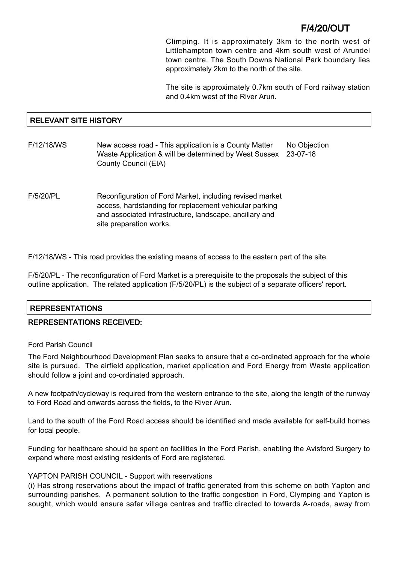Climping. It is approximately 3km to the north west of Littlehampton town centre and 4km south west of Arundel town centre. The South Downs National Park boundary lies approximately 2km to the north of the site.

The site is approximately 0.7km south of Ford railway station and 0.4km west of the River Arun.

## RELEVANT SITE HISTORY

| F/12/18/WS | New access road - This application is a County Matter<br>Waste Application & will be determined by West Sussex<br><b>County Council (EIA)</b>                                                            | No Objection<br>23-07-18 |
|------------|----------------------------------------------------------------------------------------------------------------------------------------------------------------------------------------------------------|--------------------------|
| F/5/20/PL  | Reconfiguration of Ford Market, including revised market<br>access, hardstanding for replacement vehicular parking<br>and associated infrastructure, landscape, ancillary and<br>site preparation works. |                          |

F/12/18/WS - This road provides the existing means of access to the eastern part of the site.

F/5/20/PL - The reconfiguration of Ford Market is a prerequisite to the proposals the subject of this outline application. The related application (F/5/20/PL) is the subject of a separate officers' report.

## REPRESENTATIONS

## REPRESENTATIONS RECEIVED:

### Ford Parish Council

The Ford Neighbourhood Development Plan seeks to ensure that a co-ordinated approach for the whole site is pursued. The airfield application, market application and Ford Energy from Waste application should follow a joint and co-ordinated approach.

A new footpath/cycleway is required from the western entrance to the site, along the length of the runway to Ford Road and onwards across the fields, to the River Arun.

Land to the south of the Ford Road access should be identified and made available for self-build homes for local people.

Funding for healthcare should be spent on facilities in the Ford Parish, enabling the Avisford Surgery to expand where most existing residents of Ford are registered.

### YAPTON PARISH COUNCIL - Support with reservations

(i) Has strong reservations about the impact of traffic generated from this scheme on both Yapton and surrounding parishes. A permanent solution to the traffic congestion in Ford, Clymping and Yapton is sought, which would ensure safer village centres and traffic directed to towards A-roads, away from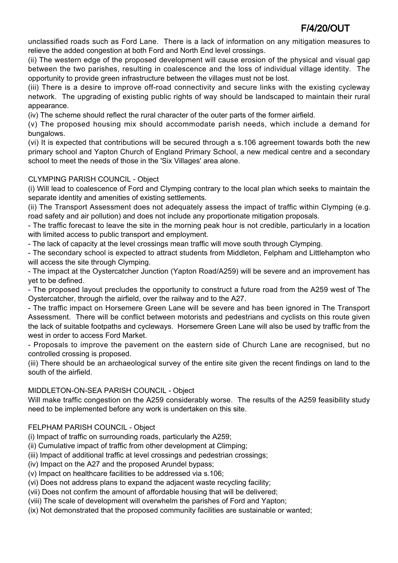unclassified roads such as Ford Lane. There is a lack of information on any mitigation measures to relieve the added congestion at both Ford and North End level crossings.

(ii) The western edge of the proposed development will cause erosion of the physical and visual gap between the two parishes, resulting in coalescence and the loss of individual village identity. The opportunity to provide green infrastructure between the villages must not be lost.

(iii) There is a desire to improve off-road connectivity and secure links with the existing cycleway network. The upgrading of existing public rights of way should be landscaped to maintain their rural appearance.

(iv) The scheme should reflect the rural character of the outer parts of the former airfield.

(v) The proposed housing mix should accommodate parish needs, which include a demand for bungalows.

(vi) It is expected that contributions will be secured through a s.106 agreement towards both the new primary school and Yapton Church of England Primary School, a new medical centre and a secondary school to meet the needs of those in the 'Six Villages' area alone.

## CLYMPING PARISH COUNCIL - Object

(i) Will lead to coalescence of Ford and Clymping contrary to the local plan which seeks to maintain the separate identity and amenities of existing settlements.

(ii) The Transport Assessment does not adequately assess the impact of traffic within Clymping (e.g. road safety and air pollution) and does not include any proportionate mitigation proposals.

- The traffic forecast to leave the site in the morning peak hour is not credible, particularly in a location with limited access to public transport and employment.

- The lack of capacity at the level crossings mean traffic will move south through Clymping.

- The secondary school is expected to attract students from Middleton, Felpham and Littlehampton who will access the site through Clymping.

- The impact at the Oystercatcher Junction (Yapton Road/A259) will be severe and an improvement has yet to be defined.

- The proposed layout precludes the opportunity to construct a future road from the A259 west of The Oystercatcher, through the airfield, over the railway and to the A27.

- The traffic impact on Horsemere Green Lane will be severe and has been ignored in The Transport Assessment. There will be conflict between motorists and pedestrians and cyclists on this route given the lack of suitable footpaths and cycleways. Horsemere Green Lane will also be used by traffic from the west in order to access Ford Market.

- Proposals to improve the pavement on the eastern side of Church Lane are recognised, but no controlled crossing is proposed.

(iii) There should be an archaeological survey of the entire site given the recent findings on land to the south of the airfield.

## MIDDLETON-ON-SEA PARISH COUNCIL - Object

Will make traffic congestion on the A259 considerably worse. The results of the A259 feasibility study need to be implemented before any work is undertaken on this site.

## FELPHAM PARISH COUNCIL - Object

(i) Impact of traffic on surrounding roads, particularly the A259;

(ii) Cumulative impact of traffic from other development at Climping;

(iii) Impact of additional traffic at level crossings and pedestrian crossings;

(iv) Impact on the A27 and the proposed Arundel bypass;

(v) Impact on healthcare facilities to be addressed via s.106;

(vi) Does not address plans to expand the adjacent waste recycling facility;

(vii) Does not confirm the amount of affordable housing that will be delivered;

(viii) The scale of development will overwhelm the parishes of Ford and Yapton;

(ix) Not demonstrated that the proposed community facilities are sustainable or wanted;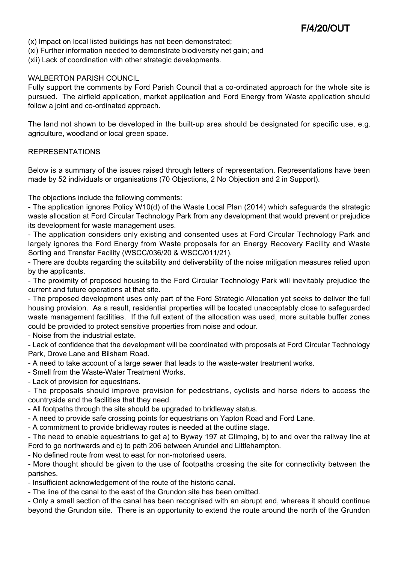- (x) Impact on local listed buildings has not been demonstrated;
- (xi) Further information needed to demonstrate biodiversity net gain; and
- (xii) Lack of coordination with other strategic developments.

#### WALBERTON PARISH COUNCIL

Fully support the comments by Ford Parish Council that a co-ordinated approach for the whole site is pursued. The airfield application, market application and Ford Energy from Waste application should follow a joint and co-ordinated approach.

The land not shown to be developed in the built-up area should be designated for specific use, e.g. agriculture, woodland or local green space.

#### REPRESENTATIONS

Below is a summary of the issues raised through letters of representation. Representations have been made by 52 individuals or organisations (70 Objections, 2 No Objection and 2 in Support).

The objections include the following comments:

- The application ignores Policy W10(d) of the Waste Local Plan (2014) which safeguards the strategic waste allocation at Ford Circular Technology Park from any development that would prevent or prejudice its development for waste management uses.

- The application considers only existing and consented uses at Ford Circular Technology Park and largely ignores the Ford Energy from Waste proposals for an Energy Recovery Facility and Waste Sorting and Transfer Facility (WSCC/036/20 & WSCC/011/21).

- There are doubts regarding the suitability and deliverability of the noise mitigation measures relied upon by the applicants.

- The proximity of proposed housing to the Ford Circular Technology Park will inevitably prejudice the current and future operations at that site.

- The proposed development uses only part of the Ford Strategic Allocation yet seeks to deliver the full housing provision. As a result, residential properties will be located unacceptably close to safeguarded waste management facilities. If the full extent of the allocation was used, more suitable buffer zones could be provided to protect sensitive properties from noise and odour.

- Noise from the industrial estate.

- Lack of confidence that the development will be coordinated with proposals at Ford Circular Technology Park, Drove Lane and Bilsham Road.

- A need to take account of a large sewer that leads to the waste-water treatment works.
- Smell from the Waste-Water Treatment Works.

- Lack of provision for equestrians.

- The proposals should improve provision for pedestrians, cyclists and horse riders to access the countryside and the facilities that they need.

- All footpaths through the site should be upgraded to bridleway status.
- A need to provide safe crossing points for equestrians on Yapton Road and Ford Lane.

- A commitment to provide bridleway routes is needed at the outline stage.

- The need to enable equestrians to get a) to Byway 197 at Climping, b) to and over the railway line at Ford to go northwards and c) to path 206 between Arundel and Littlehampton.

- No defined route from west to east for non-motorised users.

- More thought should be given to the use of footpaths crossing the site for connectivity between the parishes.

- Insufficient acknowledgement of the route of the historic canal.

- The line of the canal to the east of the Grundon site has been omitted.

- Only a small section of the canal has been recognised with an abrupt end, whereas it should continue beyond the Grundon site. There is an opportunity to extend the route around the north of the Grundon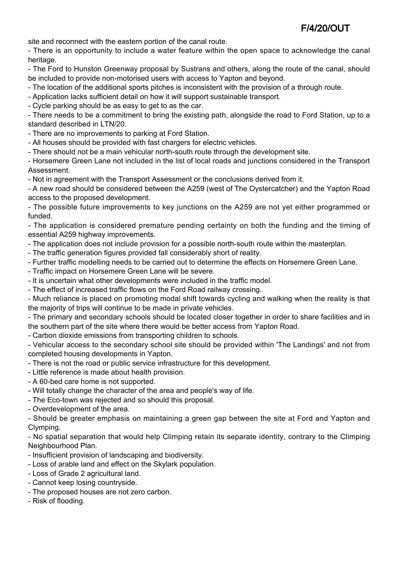site and reconnect with the eastern portion of the canal route.

- There is an opportunity to include a water feature within the open space to acknowledge the canal heritage.

- The Ford to Hunston Greenway proposal by Sustrans and others, along the route of the canal, should be included to provide non-motorised users with access to Yapton and beyond.

- The location of the additional sports pitches is inconsistent with the provision of a through route.

- Application lacks sufficient detail on how it will support sustainable transport.

- Cycle parking should be as easy to get to as the car.

- There needs to be a commitment to bring the existing path, alongside the road to Ford Station, up to a standard described in LTN/20.

- There are no improvements to parking at Ford Station.

- All houses should be provided with fast chargers for electric vehicles.

- There should not be a main vehicular north-south route through the development site.

- Horsemere Green Lane not included in the list of local roads and junctions considered in the Transport Assessment.

- Not in agreement with the Transport Assessment or the conclusions derived from it.

- A new road should be considered between the A259 (west of The Oystercatcher) and the Yapton Road access to the proposed development.

- The possible future improvements to key junctions on the A259 are not yet either programmed or funded.

- The application is considered premature pending certainty on both the funding and the timing of essential A259 highway improvements.

- The application does not include provision for a possible north-south route within the masterplan.

- The traffic generation figures provided fall considerably short of reality.

- Further traffic modelling needs to be carried out to determine the effects on Horsemere Green Lane.
- Traffic impact on Horsemere Green Lane will be severe.
- It is uncertain what other developments were included in the traffic model.
- The effect of increased traffic flows on the Ford Road railway crossing.

- Much reliance is placed on promoting modal shift towards cycling and walking when the reality is that the majority of trips will continue to be made in private vehicles.

- The primary and secondary schools should be located closer together in order to share facilities and in the southern part of the site where there would be better access from Yapton Road.

- Carbon dioxide emissions from transporting children to schools.

- Vehicular access to the secondary school site should be provided within 'The Landings' and not from completed housing developments in Yapton.

- There is not the road or public service infrastructure for this development.
- Little reference is made about health provision.
- A 60-bed care home is not supported.
- Will totally change the character of the area and people's way of life.
- The Eco-town was rejected and so should this proposal.
- Overdevelopment of the area.

- Should be greater emphasis on maintaining a green gap between the site at Ford and Yapton and Clymping.

- No spatial separation that would help Climping retain its separate identity, contrary to the Climping Neighbourhood Plan.

- Insufficient provision of landscaping and biodiversity.

- Loss of arable land and effect on the Skylark population.
- Loss of Grade 2 agricultural land.
- Cannot keep losing countryside.
- The proposed houses are not zero carbon.
- Risk of flooding.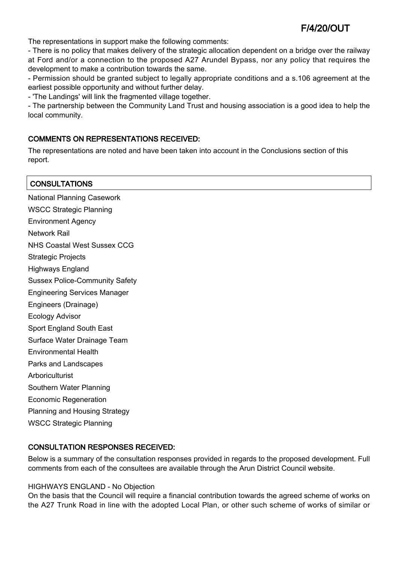The representations in support make the following comments:

- There is no policy that makes delivery of the strategic allocation dependent on a bridge over the railway at Ford and/or a connection to the proposed A27 Arundel Bypass, nor any policy that requires the development to make a contribution towards the same.

- Permission should be granted subject to legally appropriate conditions and a s.106 agreement at the earliest possible opportunity and without further delay.

- 'The Landings' will link the fragmented village together.

- The partnership between the Community Land Trust and housing association is a good idea to help the local community.

### COMMENTS ON REPRESENTATIONS RECEIVED:

The representations are noted and have been taken into account in the Conclusions section of this report.

| <b>CONSULTATIONS</b>                  |
|---------------------------------------|
| <b>National Planning Casework</b>     |
| <b>WSCC Strategic Planning</b>        |
| <b>Environment Agency</b>             |
| <b>Network Rail</b>                   |
| <b>NHS Coastal West Sussex CCG</b>    |
| <b>Strategic Projects</b>             |
| <b>Highways England</b>               |
| <b>Sussex Police-Community Safety</b> |
| <b>Engineering Services Manager</b>   |
| Engineers (Drainage)                  |
| <b>Ecology Advisor</b>                |
| Sport England South East              |
| Surface Water Drainage Team           |
| <b>Environmental Health</b>           |
| Parks and Landscapes                  |
| Arboriculturist                       |
| Southern Water Planning               |
| <b>Economic Regeneration</b>          |
| Planning and Housing Strategy         |
| <b>WSCC Strategic Planning</b>        |

### CONSULTATION RESPONSES RECEIVED:

Below is a summary of the consultation responses provided in regards to the proposed development. Full comments from each of the consultees are available through the Arun District Council website.

#### HIGHWAYS ENGLAND - No Objection

On the basis that the Council will require a financial contribution towards the agreed scheme of works on the A27 Trunk Road in line with the adopted Local Plan, or other such scheme of works of similar or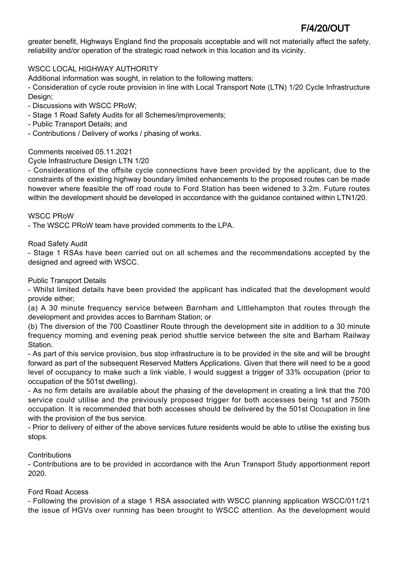greater benefit, Highways England find the proposals acceptable and will not materially affect the safety, reliability and/or operation of the strategic road network in this location and its vicinity.

## WSCC LOCAL HIGHWAY AUTHORITY

Additional information was sought, in relation to the following matters:

- Consideration of cycle route provision in line with Local Transport Note (LTN) 1/20 Cycle Infrastructure Design;

- Discussions with WSCC PRoW;
- Stage 1 Road Safety Audits for all Schemes/improvements;
- Public Transport Details; and
- Contributions / Delivery of works / phasing of works.

## Comments received 05.11.2021

Cycle Infrastructure Design LTN 1/20

- Considerations of the offsite cycle connections have been provided by the applicant, due to the constraints of the existing highway boundary limited enhancements to the proposed routes can be made however where feasible the off road route to Ford Station has been widened to 3.2m. Future routes within the development should be developed in accordance with the guidance contained within LTN1/20.

### WSCC PRoW

- The WSCC PRoW team have provided comments to the LPA.

### Road Safety Audit

- Stage 1 RSAs have been carried out on all schemes and the recommendations accepted by the designed and agreed with WSCC.

### Public Transport Details

- Whilst limited details have been provided the applicant has indicated that the development would provide either;

(a) A 30 minute frequency service between Barnham and Littlehampton that routes through the development and provides acces to Barnham Station; or

(b) The diversion of the 700 Coastliner Route through the development site in addition to a 30 minute frequency morning and evening peak period shuttle service between the site and Barham Railway Station.

- As part of this service provision, bus stop infrastructure is to be provided in the site and will be brought forward as part of the subsequent Reserved Matters Applications. Given that there will need to be a good level of occupancy to make such a link viable, I would suggest a trigger of 33% occupation (prior to occupation of the 501st dwelling).

- As no firm details are available about the phasing of the development in creating a link that the 700 service could utilise and the previously proposed trigger for both accesses being 1st and 750th occupation. It is recommended that both accesses should be delivered by the 501st Occupation in line with the provision of the bus service.

- Prior to delivery of either of the above services future residents would be able to utilise the existing bus stops.

## **Contributions**

- Contributions are to be provided in accordance with the Arun Transport Study apportionment report 2020.

## Ford Road Access

- Following the provision of a stage 1 RSA associated with WSCC planning application WSCC/011/21 the issue of HGVs over running has been brought to WSCC attention. As the development would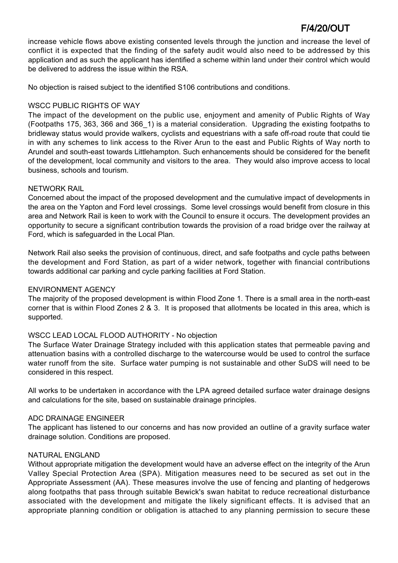increase vehicle flows above existing consented levels through the junction and increase the level of conflict it is expected that the finding of the safety audit would also need to be addressed by this application and as such the applicant has identified a scheme within land under their control which would be delivered to address the issue within the RSA.

No objection is raised subject to the identified S106 contributions and conditions.

## WSCC PUBLIC RIGHTS OF WAY

The impact of the development on the public use, enjoyment and amenity of Public Rights of Way (Footpaths 175, 363, 366 and 366\_1) is a material consideration. Upgrading the existing footpaths to bridleway status would provide walkers, cyclists and equestrians with a safe off-road route that could tie in with any schemes to link access to the River Arun to the east and Public Rights of Way north to Arundel and south-east towards Littlehampton. Such enhancements should be considered for the benefit of the development, local community and visitors to the area. They would also improve access to local business, schools and tourism.

## NETWORK RAIL

Concerned about the impact of the proposed development and the cumulative impact of developments in the area on the Yapton and Ford level crossings. Some level crossings would benefit from closure in this area and Network Rail is keen to work with the Council to ensure it occurs. The development provides an opportunity to secure a significant contribution towards the provision of a road bridge over the railway at Ford, which is safeguarded in the Local Plan.

Network Rail also seeks the provision of continuous, direct, and safe footpaths and cycle paths between the development and Ford Station, as part of a wider network, together with financial contributions towards additional car parking and cycle parking facilities at Ford Station.

## ENVIRONMENT AGENCY

The majority of the proposed development is within Flood Zone 1. There is a small area in the north-east corner that is within Flood Zones 2 & 3. It is proposed that allotments be located in this area, which is supported.

## WSCC LEAD LOCAL FLOOD AUTHORITY - No objection

The Surface Water Drainage Strategy included with this application states that permeable paving and attenuation basins with a controlled discharge to the watercourse would be used to control the surface water runoff from the site. Surface water pumping is not sustainable and other SuDS will need to be considered in this respect.

All works to be undertaken in accordance with the LPA agreed detailed surface water drainage designs and calculations for the site, based on sustainable drainage principles.

### ADC DRAINAGE ENGINEER

The applicant has listened to our concerns and has now provided an outline of a gravity surface water drainage solution. Conditions are proposed.

### NATURAL ENGLAND

Without appropriate mitigation the development would have an adverse effect on the integrity of the Arun Valley Special Protection Area (SPA). Mitigation measures need to be secured as set out in the Appropriate Assessment (AA). These measures involve the use of fencing and planting of hedgerows along footpaths that pass through suitable Bewick's swan habitat to reduce recreational disturbance associated with the development and mitigate the likely significant effects. It is advised that an appropriate planning condition or obligation is attached to any planning permission to secure these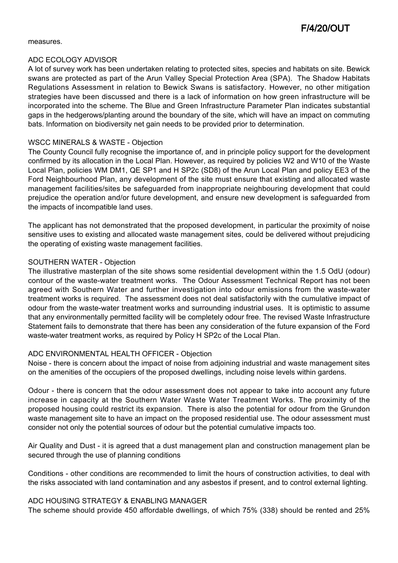measures.

#### ADC ECOLOGY ADVISOR

A lot of survey work has been undertaken relating to protected sites, species and habitats on site. Bewick swans are protected as part of the Arun Valley Special Protection Area (SPA). The Shadow Habitats Regulations Assessment in relation to Bewick Swans is satisfactory. However, no other mitigation strategies have been discussed and there is a lack of information on how green infrastructure will be incorporated into the scheme. The Blue and Green Infrastructure Parameter Plan indicates substantial gaps in the hedgerows/planting around the boundary of the site, which will have an impact on commuting bats. Information on biodiversity net gain needs to be provided prior to determination.

### WSCC MINERALS & WASTE - Objection

The County Council fully recognise the importance of, and in principle policy support for the development confirmed by its allocation in the Local Plan. However, as required by policies W2 and W10 of the Waste Local Plan, policies WM DM1, QE SP1 and H SP2c (SD8) of the Arun Local Plan and policy EE3 of the Ford Neighbourhood Plan, any development of the site must ensure that existing and allocated waste management facilities/sites be safeguarded from inappropriate neighbouring development that could prejudice the operation and/or future development, and ensure new development is safeguarded from the impacts of incompatible land uses.

The applicant has not demonstrated that the proposed development, in particular the proximity of noise sensitive uses to existing and allocated waste management sites, could be delivered without prejudicing the operating of existing waste management facilities.

### SOUTHERN WATER - Objection

The illustrative masterplan of the site shows some residential development within the 1.5 OdU (odour) contour of the waste-water treatment works. The Odour Assessment Technical Report has not been agreed with Southern Water and further investigation into odour emissions from the waste-water treatment works is required. The assessment does not deal satisfactorily with the cumulative impact of odour from the waste-water treatment works and surrounding industrial uses. It is optimistic to assume that any environmentally permitted facility will be completely odour free. The revised Waste Infrastructure Statement fails to demonstrate that there has been any consideration of the future expansion of the Ford waste-water treatment works, as required by Policy H SP2c of the Local Plan.

### ADC ENVIRONMENTAL HEALTH OFFICER - Objection

Noise - there is concern about the impact of noise from adjoining industrial and waste management sites on the amenities of the occupiers of the proposed dwellings, including noise levels within gardens.

Odour - there is concern that the odour assessment does not appear to take into account any future increase in capacity at the Southern Water Waste Water Treatment Works. The proximity of the proposed housing could restrict its expansion. There is also the potential for odour from the Grundon waste management site to have an impact on the proposed residential use. The odour assessment must consider not only the potential sources of odour but the potential cumulative impacts too.

Air Quality and Dust - it is agreed that a dust management plan and construction management plan be secured through the use of planning conditions

Conditions - other conditions are recommended to limit the hours of construction activities, to deal with the risks associated with land contamination and any asbestos if present, and to control external lighting.

### ADC HOUSING STRATEGY & ENABLING MANAGER

The scheme should provide 450 affordable dwellings, of which 75% (338) should be rented and 25%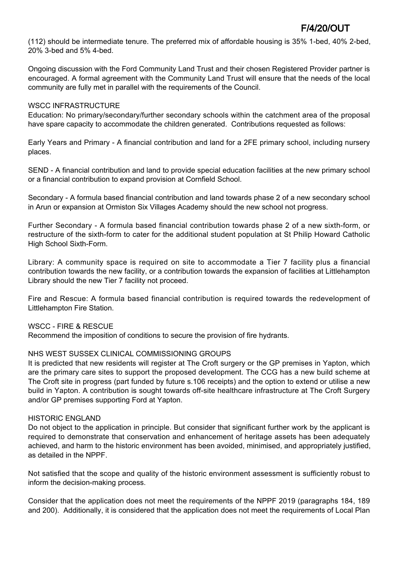(112) should be intermediate tenure. The preferred mix of affordable housing is 35% 1-bed, 40% 2-bed, 20% 3-bed and 5% 4-bed.

Ongoing discussion with the Ford Community Land Trust and their chosen Registered Provider partner is encouraged. A formal agreement with the Community Land Trust will ensure that the needs of the local community are fully met in parallel with the requirements of the Council.

### WSCC INFRASTRUCTURE

Education: No primary/secondary/further secondary schools within the catchment area of the proposal have spare capacity to accommodate the children generated. Contributions requested as follows:

Early Years and Primary - A financial contribution and land for a 2FE primary school, including nursery places.

SEND - A financial contribution and land to provide special education facilities at the new primary school or a financial contribution to expand provision at Cornfield School.

Secondary - A formula based financial contribution and land towards phase 2 of a new secondary school in Arun or expansion at Ormiston Six Villages Academy should the new school not progress.

Further Secondary - A formula based financial contribution towards phase 2 of a new sixth-form, or restructure of the sixth-form to cater for the additional student population at St Philip Howard Catholic High School Sixth-Form.

Library: A community space is required on site to accommodate a Tier 7 facility plus a financial contribution towards the new facility, or a contribution towards the expansion of facilities at Littlehampton Library should the new Tier 7 facility not proceed.

Fire and Rescue: A formula based financial contribution is required towards the redevelopment of Littlehampton Fire Station.

WSCC - FIRE & RESCUE

Recommend the imposition of conditions to secure the provision of fire hydrants.

### NHS WEST SUSSEX CLINICAL COMMISSIONING GROUPS

It is predicted that new residents will register at The Croft surgery or the GP premises in Yapton, which are the primary care sites to support the proposed development. The CCG has a new build scheme at The Croft site in progress (part funded by future s.106 receipts) and the option to extend or utilise a new build in Yapton. A contribution is sought towards off-site healthcare infrastructure at The Croft Surgery and/or GP premises supporting Ford at Yapton.

#### HISTORIC ENGLAND

Do not object to the application in principle. But consider that significant further work by the applicant is required to demonstrate that conservation and enhancement of heritage assets has been adequately achieved, and harm to the historic environment has been avoided, minimised, and appropriately justified, as detailed in the NPPF.

Not satisfied that the scope and quality of the historic environment assessment is sufficiently robust to inform the decision-making process.

Consider that the application does not meet the requirements of the NPPF 2019 (paragraphs 184, 189 and 200). Additionally, it is considered that the application does not meet the requirements of Local Plan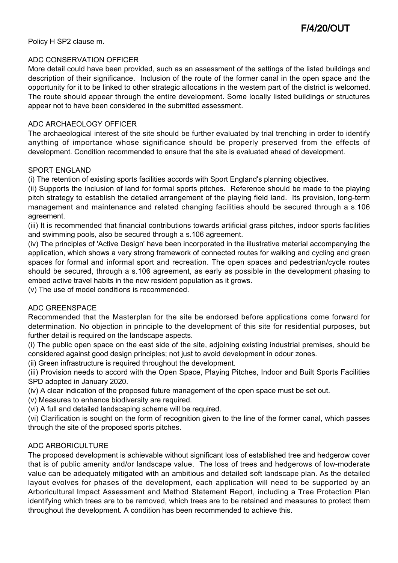Policy H SP2 clause m.

### ADC CONSERVATION OFFICER

More detail could have been provided, such as an assessment of the settings of the listed buildings and description of their significance. Inclusion of the route of the former canal in the open space and the opportunity for it to be linked to other strategic allocations in the western part of the district is welcomed. The route should appear through the entire development. Some locally listed buildings or structures appear not to have been considered in the submitted assessment.

### ADC ARCHAEOLOGY OFFICER

The archaeological interest of the site should be further evaluated by trial trenching in order to identify anything of importance whose significance should be properly preserved from the effects of development. Condition recommended to ensure that the site is evaluated ahead of development.

#### SPORT ENGLAND

(i) The retention of existing sports facilities accords with Sport England's planning objectives.

(ii) Supports the inclusion of land for formal sports pitches. Reference should be made to the playing pitch strategy to establish the detailed arrangement of the playing field land. Its provision, long-term management and maintenance and related changing facilities should be secured through a s.106 agreement.

(iii) It is recommended that financial contributions towards artificial grass pitches, indoor sports facilities and swimming pools, also be secured through a s.106 agreement.

(iv) The principles of 'Active Design' have been incorporated in the illustrative material accompanying the application, which shows a very strong framework of connected routes for walking and cycling and green spaces for formal and informal sport and recreation. The open spaces and pedestrian/cycle routes should be secured, through a s.106 agreement, as early as possible in the development phasing to embed active travel habits in the new resident population as it grows.

(v) The use of model conditions is recommended.

### ADC GREENSPACE

Recommended that the Masterplan for the site be endorsed before applications come forward for determination. No objection in principle to the development of this site for residential purposes, but further detail is required on the landscape aspects.

(i) The public open space on the east side of the site, adjoining existing industrial premises, should be considered against good design principles; not just to avoid development in odour zones.

(ii) Green infrastructure is required throughout the development.

(iii) Provision needs to accord with the Open Space, Playing Pitches, Indoor and Built Sports Facilities SPD adopted in January 2020.

(iv) A clear indication of the proposed future management of the open space must be set out.

(v) Measures to enhance biodiversity are required.

(vi) A full and detailed landscaping scheme will be required.

(vi) Clarification is sought on the form of recognition given to the line of the former canal, which passes through the site of the proposed sports pitches.

### ADC ARBORICULTURE

The proposed development is achievable without significant loss of established tree and hedgerow cover that is of public amenity and/or landscape value. The loss of trees and hedgerows of low-moderate value can be adequately mitigated with an ambitious and detailed soft landscape plan. As the detailed layout evolves for phases of the development, each application will need to be supported by an Arboricultural Impact Assessment and Method Statement Report, including a Tree Protection Plan identifying which trees are to be removed, which trees are to be retained and measures to protect them throughout the development. A condition has been recommended to achieve this.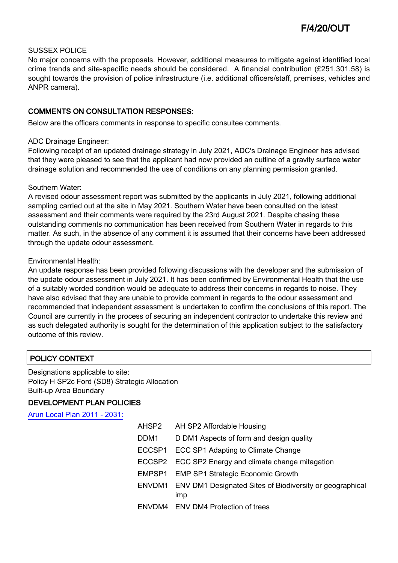### SUSSEX POLICE

No major concerns with the proposals. However, additional measures to mitigate against identified local crime trends and site-specific needs should be considered. A financial contribution (£251,301.58) is sought towards the provision of police infrastructure (i.e. additional officers/staff, premises, vehicles and ANPR camera).

### COMMENTS ON CONSULTATION RESPONSES:

Below are the officers comments in response to specific consultee comments.

#### ADC Drainage Engineer:

Following receipt of an updated drainage strategy in July 2021, ADC's Drainage Engineer has advised that they were pleased to see that the applicant had now provided an outline of a gravity surface water drainage solution and recommended the use of conditions on any planning permission granted.

#### Southern Water:

A revised odour assessment report was submitted by the applicants in July 2021, following additional sampling carried out at the site in May 2021. Southern Water have been consulted on the latest assessment and their comments were required by the 23rd August 2021. Despite chasing these outstanding comments no communication has been received from Southern Water in regards to this matter. As such, in the absence of any comment it is assumed that their concerns have been addressed through the update odour assessment.

### Environmental Health:

An update response has been provided following discussions with the developer and the submission of the update odour assessment in July 2021. It has been confirmed by Environmental Health that the use of a suitably worded condition would be adequate to address their concerns in regards to noise. They have also advised that they are unable to provide comment in regards to the odour assessment and recommended that independent assessment is undertaken to confirm the conclusions of this report. The Council are currently in the process of securing an independent contractor to undertake this review and as such delegated authority is sought for the determination of this application subject to the satisfactory outcome of this review.

## POLICY CONTEXT

Designations applicable to site: Policy H SP2c Ford (SD8) Strategic Allocation Built-up Area Boundary

## DEVELOPMENT PLAN POLICIES

[Arun Local Plan 2011 - 2031:](https://www.arun.gov.uk/adopted-local-plan)

| AHSP2            | AH SP2 Affordable Housing                                              |
|------------------|------------------------------------------------------------------------|
| DDM <sub>1</sub> | D DM1 Aspects of form and design quality                               |
|                  | ECCSP1 ECC SP1 Adapting to Climate Change                              |
|                  | ECCSP2 ECC SP2 Energy and climate change mitagation                    |
|                  | EMPSP1 EMP SP1 Strategic Economic Growth                               |
|                  | ENVDM1 ENV DM1 Designated Sites of Biodiversity or geographical<br>imp |
|                  | ENVDM4 ENV DM4 Protection of trees                                     |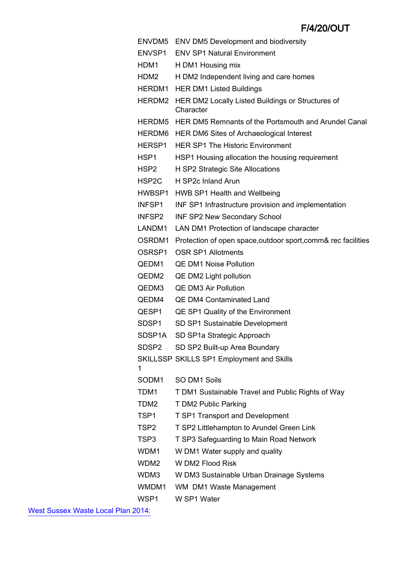|                   | ENVDM5 ENV DM5 Development and biodiversity                           |
|-------------------|-----------------------------------------------------------------------|
| ENVSP1            | <b>ENV SP1 Natural Environment</b>                                    |
| HDM1              | H DM1 Housing mix                                                     |
| HDM2              | H DM2 Independent living and care homes                               |
|                   | <b>HERDM1</b> HER DM1 Listed Buildings                                |
|                   | HERDM2 HER DM2 Locally Listed Buildings or Structures of<br>Character |
|                   | HERDM5 HER DM5 Remnants of the Portsmouth and Arundel Canal           |
|                   | HERDM6 HER DM6 Sites of Archaeological Interest                       |
| HERSP1            | <b>HER SP1 The Historic Environment</b>                               |
| HSP1              | HSP1 Housing allocation the housing requirement                       |
| HSP2              | H SP2 Strategic Site Allocations                                      |
| HSP2C             | H SP2c Inland Arun                                                    |
|                   | HWBSP1 HWB SP1 Health and Wellbeing                                   |
| INFSP1            | INF SP1 Infrastructure provision and implementation                   |
| INFSP2            | <b>INF SP2 New Secondary School</b>                                   |
| LANDM1            | LAN DM1 Protection of landscape character                             |
| OSRDM1            | Protection of open space, outdoor sport, comm& rec facilities         |
| OSRSP1            | <b>OSR SP1 Allotments</b>                                             |
| QEDM1             | <b>QE DM1 Noise Pollution</b>                                         |
| QEDM2             | QE DM2 Light pollution                                                |
| QEDM3             | <b>QE DM3 Air Pollution</b>                                           |
| QEDM4             | <b>QE DM4 Contaminated Land</b>                                       |
| QESP1             | QE SP1 Quality of the Environment                                     |
| SDSP <sub>1</sub> | SD SP1 Sustainable Development                                        |
| SDSP1A            | SD SP1a Strategic Approach                                            |
| SDSP2             | SD SP2 Built-up Area Boundary                                         |
|                   | SKILLSSP SKILLS SP1 Employment and Skills                             |
| 1                 |                                                                       |
| SODM1             | SO DM1 Soils                                                          |
| TDM1              | T DM1 Sustainable Travel and Public Rights of Way                     |
| TDM2              | T DM2 Public Parking                                                  |
| TSP1              | <b>T SP1 Transport and Development</b>                                |
| TSP2              | T SP2 Littlehampton to Arundel Green Link                             |
| TSP3              | T SP3 Safeguarding to Main Road Network                               |
| WDM1              | W DM1 Water supply and quality                                        |
| WDM2              | W DM2 Flood Risk                                                      |
| WDM3              | W DM3 Sustainable Urban Drainage Systems                              |
| WMDM1             | WM DM1 Waste Management                                               |
| WSP1              | W SP1 Water                                                           |

[West Sussex Waste Local Plan 2014:](https://www.westsussex.gov.uk/about-the-council/policies-and-reports/environment-planning-and-waste-policy-and-reports/minerals-and-waste-policy/waste-local-plan)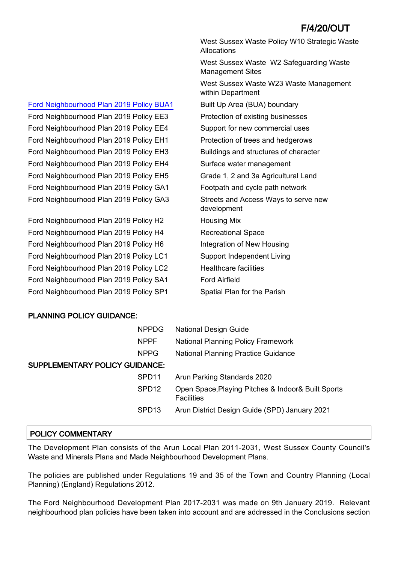West Sussex Waste Policy W10 Strategic Waste **Allocations** West Sussex Waste W2 Safeguarding Waste Management Sites West Sussex Waste W23 Waste Management within Department Ford Neighbourhood Plan 2019 Policy EH3 Buildings and structures of character Ford Neighbourhood Plan 2019 Policy GA3 Streets and Access Ways to serve new development Ford Neighbourhood Plan 2019 Policy SP1 Spatial Plan for the Parish

## PLANNING POLICY GUIDANCE:

|                                       | <b>NPPDG</b>      | <b>National Design Guide</b>                                            |  |  |
|---------------------------------------|-------------------|-------------------------------------------------------------------------|--|--|
|                                       | <b>NPPF</b>       | <b>National Planning Policy Framework</b>                               |  |  |
|                                       | <b>NPPG</b>       | <b>National Planning Practice Guidance</b>                              |  |  |
| <b>SUPPLEMENTARY POLICY GUIDANCE:</b> |                   |                                                                         |  |  |
|                                       | SPD <sub>11</sub> | Arun Parking Standards 2020                                             |  |  |
|                                       | SPD <sub>12</sub> | Open Space, Playing Pitches & Indoor& Built Sports<br><b>Facilities</b> |  |  |
|                                       | SPD <sub>13</sub> | Arun District Design Guide (SPD) January 2021                           |  |  |
|                                       |                   |                                                                         |  |  |

## POLICY COMMENTARY

The Development Plan consists of the Arun Local Plan 2011-2031, West Sussex County Council's Waste and Minerals Plans and Made Neighbourhood Development Plans.

The policies are published under Regulations 19 and 35 of the Town and Country Planning (Local Planning) (England) Regulations 2012.

The Ford Neighbourhood Development Plan 2017-2031 was made on 9th January 2019. Relevant neighbourhood plan policies have been taken into account and are addressed in the Conclusions section

## [Ford Neighbourhood Plan 2019 Policy BUA1](http://www.arun.gov.uk/neighbourhood-planning) Built Up Area (BUA) boundary

Ford Neighbourhood Plan 2019 Policy EE3 Protection of existing businesses Ford Neighbourhood Plan 2019 Policy EE4 Support for new commercial uses Ford Neighbourhood Plan 2019 Policy EH1 Protection of trees and hedgerows Ford Neighbourhood Plan 2019 Policy EH4 Surface water management Ford Neighbourhood Plan 2019 Policy EH5 Grade 1, 2 and 3a Agricultural Land Ford Neighbourhood Plan 2019 Policy GA1 Footpath and cycle path network

Ford Neighbourhood Plan 2019 Policy H2 Housing Mix Ford Neighbourhood Plan 2019 Policy H4 Recreational Space Ford Neighbourhood Plan 2019 Policy H6 Integration of New Housing Ford Neighbourhood Plan 2019 Policy LC1 Support Independent Living Ford Neighbourhood Plan 2019 Policy LC2 Healthcare facilities Ford Neighbourhood Plan 2019 Policy SA1 Ford Airfield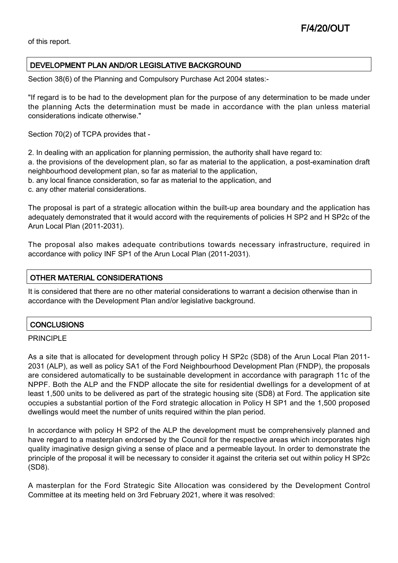of this report.

### DEVELOPMENT PLAN AND/OR LEGISLATIVE BACKGROUND

Section 38(6) of the Planning and Compulsory Purchase Act 2004 states:-

"If regard is to be had to the development plan for the purpose of any determination to be made under the planning Acts the determination must be made in accordance with the plan unless material considerations indicate otherwise."

Section 70(2) of TCPA provides that -

2. In dealing with an application for planning permission, the authority shall have regard to:

a. the provisions of the development plan, so far as material to the application, a post-examination draft neighbourhood development plan, so far as material to the application,

- b. any local finance consideration, so far as material to the application, and
- c. any other material considerations.

The proposal is part of a strategic allocation within the built-up area boundary and the application has adequately demonstrated that it would accord with the requirements of policies H SP2 and H SP2c of the Arun Local Plan (2011-2031).

The proposal also makes adequate contributions towards necessary infrastructure, required in accordance with policy INF SP1 of the Arun Local Plan (2011-2031).

### OTHER MATERIAL CONSIDERATIONS

It is considered that there are no other material considerations to warrant a decision otherwise than in accordance with the Development Plan and/or legislative background.

### **CONCLUSIONS**

### PRINCIPLE

As a site that is allocated for development through policy H SP2c (SD8) of the Arun Local Plan 2011- 2031 (ALP), as well as policy SA1 of the Ford Neighbourhood Development Plan (FNDP), the proposals are considered automatically to be sustainable development in accordance with paragraph 11c of the NPPF. Both the ALP and the FNDP allocate the site for residential dwellings for a development of at least 1,500 units to be delivered as part of the strategic housing site (SD8) at Ford. The application site occupies a substantial portion of the Ford strategic allocation in Policy H SP1 and the 1,500 proposed dwellings would meet the number of units required within the plan period.

In accordance with policy H SP2 of the ALP the development must be comprehensively planned and have regard to a masterplan endorsed by the Council for the respective areas which incorporates high quality imaginative design giving a sense of place and a permeable layout. In order to demonstrate the principle of the proposal it will be necessary to consider it against the criteria set out within policy H SP2c (SD8).

A masterplan for the Ford Strategic Site Allocation was considered by the Development Control Committee at its meeting held on 3rd February 2021, where it was resolved: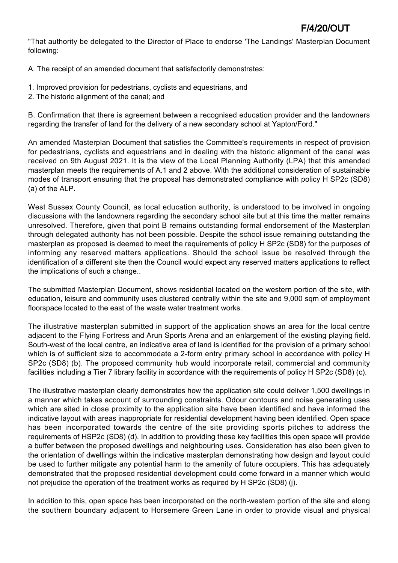"That authority be delegated to the Director of Place to endorse 'The Landings' Masterplan Document following:

A. The receipt of an amended document that satisfactorily demonstrates:

- 1. Improved provision for pedestrians, cyclists and equestrians, and
- 2. The historic alignment of the canal; and

B. Confirmation that there is agreement between a recognised education provider and the landowners regarding the transfer of land for the delivery of a new secondary school at Yapton/Ford."

An amended Masterplan Document that satisfies the Committee's requirements in respect of provision for pedestrians, cyclists and equestrians and in dealing with the historic alignment of the canal was received on 9th August 2021. It is the view of the Local Planning Authority (LPA) that this amended masterplan meets the requirements of A.1 and 2 above. With the additional consideration of sustainable modes of transport ensuring that the proposal has demonstrated compliance with policy H SP2c (SD8) (a) of the ALP.

West Sussex County Council, as local education authority, is understood to be involved in ongoing discussions with the landowners regarding the secondary school site but at this time the matter remains unresolved. Therefore, given that point B remains outstanding formal endorsement of the Masterplan through delegated authority has not been possible. Despite the school issue remaining outstanding the masterplan as proposed is deemed to meet the requirements of policy H SP2c (SD8) for the purposes of informing any reserved matters applications. Should the school issue be resolved through the identification of a different site then the Council would expect any reserved matters applications to reflect the implications of such a change..

The submitted Masterplan Document, shows residential located on the western portion of the site, with education, leisure and community uses clustered centrally within the site and 9,000 sqm of employment floorspace located to the east of the waste water treatment works.

The illustrative masterplan submitted in support of the application shows an area for the local centre adjacent to the Flying Fortress and Arun Sports Arena and an enlargement of the existing playing field. South-west of the local centre, an indicative area of land is identified for the provision of a primary school which is of sufficient size to accommodate a 2-form entry primary school in accordance with policy H SP2c (SD8) (b). The proposed community hub would incorporate retail, commercial and community facilities including a Tier 7 library facility in accordance with the requirements of policy H SP2c (SD8) (c).

The illustrative masterplan clearly demonstrates how the application site could deliver 1,500 dwellings in a manner which takes account of surrounding constraints. Odour contours and noise generating uses which are sited in close proximity to the application site have been identified and have informed the indicative layout with areas inappropriate for residential development having been identified. Open space has been incorporated towards the centre of the site providing sports pitches to address the requirements of HSP2c (SD8) (d). In addition to providing these key facilities this open space will provide a buffer between the proposed dwellings and neighbouring uses. Consideration has also been given to the orientation of dwellings within the indicative masterplan demonstrating how design and layout could be used to further mitigate any potential harm to the amenity of future occupiers. This has adequately demonstrated that the proposed residential development could come forward in a manner which would not prejudice the operation of the treatment works as required by H SP2c (SD8) (j).

In addition to this, open space has been incorporated on the north-western portion of the site and along the southern boundary adjacent to Horsemere Green Lane in order to provide visual and physical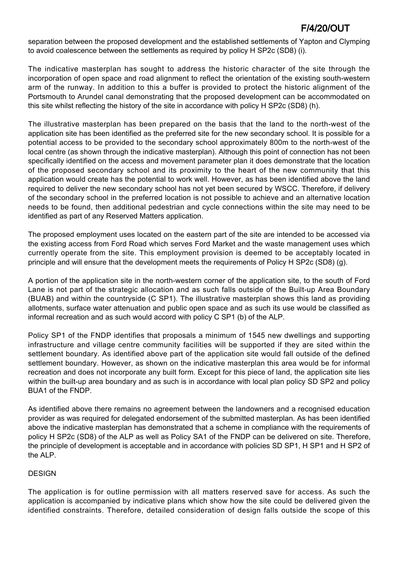separation between the proposed development and the established settlements of Yapton and Clymping to avoid coalescence between the settlements as required by policy H SP2c (SD8) (i).

The indicative masterplan has sought to address the historic character of the site through the incorporation of open space and road alignment to reflect the orientation of the existing south-western arm of the runway. In addition to this a buffer is provided to protect the historic alignment of the Portsmouth to Arundel canal demonstrating that the proposed development can be accommodated on this site whilst reflecting the history of the site in accordance with policy H SP2c (SD8) (h).

The illustrative masterplan has been prepared on the basis that the land to the north-west of the application site has been identified as the preferred site for the new secondary school. It is possible for a potential access to be provided to the secondary school approximately 800m to the north-west of the local centre (as shown through the indicative masterplan). Although this point of connection has not been specifically identified on the access and movement parameter plan it does demonstrate that the location of the proposed secondary school and its proximity to the heart of the new community that this application would create has the potential to work well. However, as has been identified above the land required to deliver the new secondary school has not yet been secured by WSCC. Therefore, if delivery of the secondary school in the preferred location is not possible to achieve and an alternative location needs to be found, then additional pedestrian and cycle connections within the site may need to be identified as part of any Reserved Matters application.

The proposed employment uses located on the eastern part of the site are intended to be accessed via the existing access from Ford Road which serves Ford Market and the waste management uses which currently operate from the site. This employment provision is deemed to be acceptably located in principle and will ensure that the development meets the requirements of Policy H SP2c (SD8) (g).

A portion of the application site in the north-western corner of the application site, to the south of Ford Lane is not part of the strategic allocation and as such falls outside of the Built-up Area Boundary (BUAB) and within the countryside (C SP1). The illustrative masterplan shows this land as providing allotments, surface water attenuation and public open space and as such its use would be classified as informal recreation and as such would accord with policy C SP1 (b) of the ALP.

Policy SP1 of the FNDP identifies that proposals a minimum of 1545 new dwellings and supporting infrastructure and village centre community facilities will be supported if they are sited within the settlement boundary. As identified above part of the application site would fall outside of the defined settlement boundary. However, as shown on the indicative masterplan this area would be for informal recreation and does not incorporate any built form. Except for this piece of land, the application site lies within the built-up area boundary and as such is in accordance with local plan policy SD SP2 and policy BUA1 of the FNDP.

As identified above there remains no agreement between the landowners and a recognised education provider as was required for delegated endorsement of the submitted masterplan. As has been identified above the indicative masterplan has demonstrated that a scheme in compliance with the requirements of policy H SP2c (SD8) of the ALP as well as Policy SA1 of the FNDP can be delivered on site. Therefore, the principle of development is acceptable and in accordance with policies SD SP1, H SP1 and H SP2 of the ALP.

## **DESIGN**

The application is for outline permission with all matters reserved save for access. As such the application is accompanied by indicative plans which show how the site could be delivered given the identified constraints. Therefore, detailed consideration of design falls outside the scope of this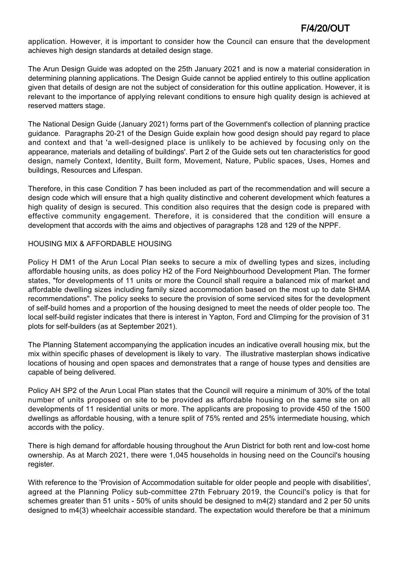application. However, it is important to consider how the Council can ensure that the development achieves high design standards at detailed design stage.

The Arun Design Guide was adopted on the 25th January 2021 and is now a material consideration in determining planning applications. The Design Guide cannot be applied entirely to this outline application given that details of design are not the subject of consideration for this outline application. However, it is relevant to the importance of applying relevant conditions to ensure high quality design is achieved at reserved matters stage.

The National Design Guide (January 2021) forms part of the Government's collection of planning practice guidance. Paragraphs 20-21 of the Design Guide explain how good design should pay regard to place and context and that 'a well-designed place is unlikely to be achieved by focusing only on the appearance, materials and detailing of buildings'. Part 2 of the Guide sets out ten characteristics for good design, namely Context, Identity, Built form, Movement, Nature, Public spaces, Uses, Homes and buildings, Resources and Lifespan.

Therefore, in this case Condition 7 has been included as part of the recommendation and will secure a design code which will ensure that a high quality distinctive and coherent development which features a high quality of design is secured. This condition also requires that the design code is prepared with effective community engagement. Therefore, it is considered that the condition will ensure a development that accords with the aims and objectives of paragraphs 128 and 129 of the NPPF.

### HOUSING MIX & AFFORDABLE HOUSING

Policy H DM1 of the Arun Local Plan seeks to secure a mix of dwelling types and sizes, including affordable housing units, as does policy H2 of the Ford Neighbourhood Development Plan. The former states, "for developments of 11 units or more the Council shall require a balanced mix of market and affordable dwelling sizes including family sized accommodation based on the most up to date SHMA recommendations". The policy seeks to secure the provision of some serviced sites for the development of self-build homes and a proportion of the housing designed to meet the needs of older people too. The local self-build register indicates that there is interest in Yapton, Ford and Climping for the provision of 31 plots for self-builders (as at September 2021).

The Planning Statement accompanying the application incudes an indicative overall housing mix, but the mix within specific phases of development is likely to vary. The illustrative masterplan shows indicative locations of housing and open spaces and demonstrates that a range of house types and densities are capable of being delivered.

Policy AH SP2 of the Arun Local Plan states that the Council will require a minimum of 30% of the total number of units proposed on site to be provided as affordable housing on the same site on all developments of 11 residential units or more. The applicants are proposing to provide 450 of the 1500 dwellings as affordable housing, with a tenure split of 75% rented and 25% intermediate housing, which accords with the policy.

There is high demand for affordable housing throughout the Arun District for both rent and low-cost home ownership. As at March 2021, there were 1,045 households in housing need on the Council's housing register.

With reference to the 'Provision of Accommodation suitable for older people and people with disabilities', agreed at the Planning Policy sub-committee 27th February 2019, the Council's policy is that for schemes greater than 51 units - 50% of units should be designed to m4(2) standard and 2 per 50 units designed to m4(3) wheelchair accessible standard. The expectation would therefore be that a minimum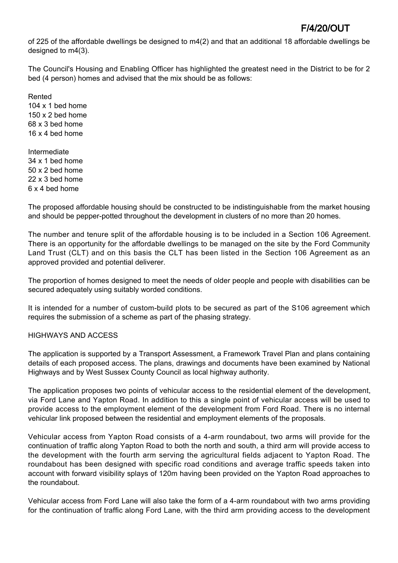of 225 of the affordable dwellings be designed to m4(2) and that an additional 18 affordable dwellings be designed to m4(3).

The Council's Housing and Enabling Officer has highlighted the greatest need in the District to be for 2 bed (4 person) homes and advised that the mix should be as follows:

Rented 104 x 1 bed home 150 x 2 bed home 68 x 3 bed home 16 x 4 bed home

Intermediate 34 x 1 bed home 50 x 2 bed home 22 x 3 bed home 6 x 4 bed home

The proposed affordable housing should be constructed to be indistinguishable from the market housing and should be pepper-potted throughout the development in clusters of no more than 20 homes.

The number and tenure split of the affordable housing is to be included in a Section 106 Agreement. There is an opportunity for the affordable dwellings to be managed on the site by the Ford Community Land Trust (CLT) and on this basis the CLT has been listed in the Section 106 Agreement as an approved provided and potential deliverer.

The proportion of homes designed to meet the needs of older people and people with disabilities can be secured adequately using suitably worded conditions.

It is intended for a number of custom-build plots to be secured as part of the S106 agreement which requires the submission of a scheme as part of the phasing strategy.

### HIGHWAYS AND ACCESS

The application is supported by a Transport Assessment, a Framework Travel Plan and plans containing details of each proposed access. The plans, drawings and documents have been examined by National Highways and by West Sussex County Council as local highway authority.

The application proposes two points of vehicular access to the residential element of the development, via Ford Lane and Yapton Road. In addition to this a single point of vehicular access will be used to provide access to the employment element of the development from Ford Road. There is no internal vehicular link proposed between the residential and employment elements of the proposals.

Vehicular access from Yapton Road consists of a 4-arm roundabout, two arms will provide for the continuation of traffic along Yapton Road to both the north and south, a third arm will provide access to the development with the fourth arm serving the agricultural fields adjacent to Yapton Road. The roundabout has been designed with specific road conditions and average traffic speeds taken into account with forward visibility splays of 120m having been provided on the Yapton Road approaches to the roundabout.

Vehicular access from Ford Lane will also take the form of a 4-arm roundabout with two arms providing for the continuation of traffic along Ford Lane, with the third arm providing access to the development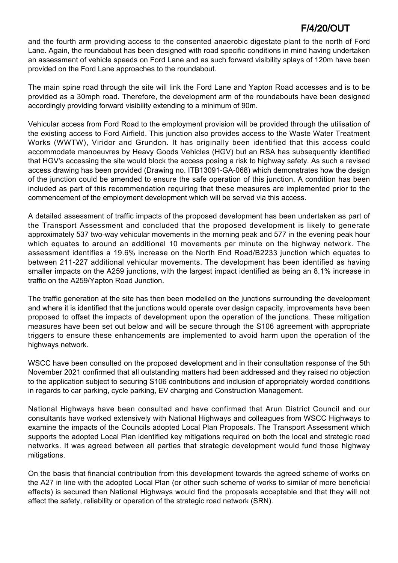and the fourth arm providing access to the consented anaerobic digestate plant to the north of Ford Lane. Again, the roundabout has been designed with road specific conditions in mind having undertaken an assessment of vehicle speeds on Ford Lane and as such forward visibility splays of 120m have been provided on the Ford Lane approaches to the roundabout.

The main spine road through the site will link the Ford Lane and Yapton Road accesses and is to be provided as a 30mph road. Therefore, the development arm of the roundabouts have been designed accordingly providing forward visibility extending to a minimum of 90m.

Vehicular access from Ford Road to the employment provision will be provided through the utilisation of the existing access to Ford Airfield. This junction also provides access to the Waste Water Treatment Works (WWTW), Viridor and Grundon. It has originally been identified that this access could accommodate manoeuvres by Heavy Goods Vehicles (HGV) but an RSA has subsequently identified that HGV's accessing the site would block the access posing a risk to highway safety. As such a revised access drawing has been provided (Drawing no. ITB13091-GA-068) which demonstrates how the design of the junction could be amended to ensure the safe operation of this junction. A condition has been included as part of this recommendation requiring that these measures are implemented prior to the commencement of the employment development which will be served via this access.

A detailed assessment of traffic impacts of the proposed development has been undertaken as part of the Transport Assessment and concluded that the proposed development is likely to generate approximately 537 two-way vehicular movements in the morning peak and 577 in the evening peak hour which equates to around an additional 10 movements per minute on the highway network. The assessment identifies a 19.6% increase on the North End Road/B2233 junction which equates to between 211-227 additional vehicular movements. The development has been identified as having smaller impacts on the A259 junctions, with the largest impact identified as being an 8.1% increase in traffic on the A259/Yapton Road Junction.

The traffic generation at the site has then been modelled on the junctions surrounding the development and where it is identified that the junctions would operate over design capacity, improvements have been proposed to offset the impacts of development upon the operation of the junctions. These mitigation measures have been set out below and will be secure through the S106 agreement with appropriate triggers to ensure these enhancements are implemented to avoid harm upon the operation of the highways network.

WSCC have been consulted on the proposed development and in their consultation response of the 5th November 2021 confirmed that all outstanding matters had been addressed and they raised no objection to the application subject to securing S106 contributions and inclusion of appropriately worded conditions in regards to car parking, cycle parking, EV charging and Construction Management.

National Highways have been consulted and have confirmed that Arun District Council and our consultants have worked extensively with National Highways and colleagues from WSCC Highways to examine the impacts of the Councils adopted Local Plan Proposals. The Transport Assessment which supports the adopted Local Plan identified key mitigations required on both the local and strategic road networks. It was agreed between all parties that strategic development would fund those highway mitigations.

On the basis that financial contribution from this development towards the agreed scheme of works on the A27 in line with the adopted Local Plan (or other such scheme of works to similar of more beneficial effects) is secured then National Highways would find the proposals acceptable and that they will not affect the safety, reliability or operation of the strategic road network (SRN).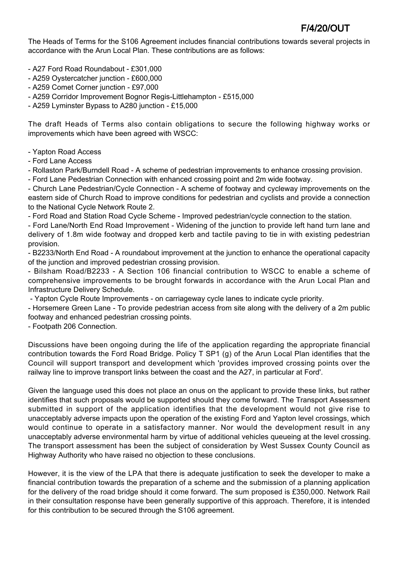The Heads of Terms for the S106 Agreement includes financial contributions towards several projects in accordance with the Arun Local Plan. These contributions are as follows:

- A27 Ford Road Roundabout £301,000
- A259 Oystercatcher junction £600,000
- A259 Comet Corner junction £97,000
- A259 Corridor Improvement Bognor Regis-Littlehampton £515,000
- A259 Lyminster Bypass to A280 junction £15,000

The draft Heads of Terms also contain obligations to secure the following highway works or improvements which have been agreed with WSCC:

- Yapton Road Access

- Ford Lane Access

- Rollaston Park/Burndell Road - A scheme of pedestrian improvements to enhance crossing provision.

- Ford Lane Pedestrian Connection with enhanced crossing point and 2m wide footway.

- Church Lane Pedestrian/Cycle Connection - A scheme of footway and cycleway improvements on the eastern side of Church Road to improve conditions for pedestrian and cyclists and provide a connection to the National Cycle Network Route 2.

- Ford Road and Station Road Cycle Scheme - Improved pedestrian/cycle connection to the station.

- Ford Lane/North End Road Improvement - Widening of the junction to provide left hand turn lane and delivery of 1.8m wide footway and dropped kerb and tactile paving to tie in with existing pedestrian provision.

- B2233/North End Road - A roundabout improvement at the junction to enhance the operational capacity of the junction and improved pedestrian crossing provision.

- Bilsham Road/B2233 - A Section 106 financial contribution to WSCC to enable a scheme of comprehensive improvements to be brought forwards in accordance with the Arun Local Plan and Infrastructure Delivery Schedule.

- Yapton Cycle Route Improvements - on carriageway cycle lanes to indicate cycle priority.

- Horsemere Green Lane - To provide pedestrian access from site along with the delivery of a 2m public footway and enhanced pedestrian crossing points.

- Footpath 206 Connection.

Discussions have been ongoing during the life of the application regarding the appropriate financial contribution towards the Ford Road Bridge. Policy T SP1 (g) of the Arun Local Plan identifies that the Council will support transport and development which 'provides improved crossing points over the railway line to improve transport links between the coast and the A27, in particular at Ford'.

Given the language used this does not place an onus on the applicant to provide these links, but rather identifies that such proposals would be supported should they come forward. The Transport Assessment submitted in support of the application identifies that the development would not give rise to unacceptably adverse impacts upon the operation of the existing Ford and Yapton level crossings, which would continue to operate in a satisfactory manner. Nor would the development result in any unacceptably adverse environmental harm by virtue of additional vehicles queueing at the level crossing. The transport assessment has been the subject of consideration by West Sussex County Council as Highway Authority who have raised no objection to these conclusions.

However, it is the view of the LPA that there is adequate justification to seek the developer to make a financial contribution towards the preparation of a scheme and the submission of a planning application for the delivery of the road bridge should it come forward. The sum proposed is £350,000. Network Rail in their consultation response have been generally supportive of this approach. Therefore, it is intended for this contribution to be secured through the S106 agreement.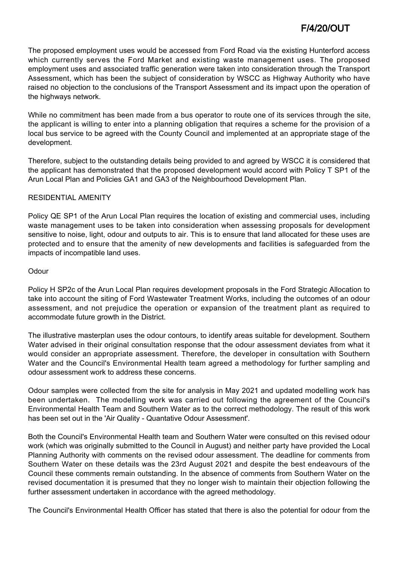The proposed employment uses would be accessed from Ford Road via the existing Hunterford access which currently serves the Ford Market and existing waste management uses. The proposed employment uses and associated traffic generation were taken into consideration through the Transport Assessment, which has been the subject of consideration by WSCC as Highway Authority who have raised no objection to the conclusions of the Transport Assessment and its impact upon the operation of the highways network.

While no commitment has been made from a bus operator to route one of its services through the site, the applicant is willing to enter into a planning obligation that requires a scheme for the provision of a local bus service to be agreed with the County Council and implemented at an appropriate stage of the development.

Therefore, subject to the outstanding details being provided to and agreed by WSCC it is considered that the applicant has demonstrated that the proposed development would accord with Policy T SP1 of the Arun Local Plan and Policies GA1 and GA3 of the Neighbourhood Development Plan.

### RESIDENTIAL AMENITY

Policy QE SP1 of the Arun Local Plan requires the location of existing and commercial uses, including waste management uses to be taken into consideration when assessing proposals for development sensitive to noise, light, odour and outputs to air. This is to ensure that land allocated for these uses are protected and to ensure that the amenity of new developments and facilities is safeguarded from the impacts of incompatible land uses.

### **Odour**

Policy H SP2c of the Arun Local Plan requires development proposals in the Ford Strategic Allocation to take into account the siting of Ford Wastewater Treatment Works, including the outcomes of an odour assessment, and not prejudice the operation or expansion of the treatment plant as required to accommodate future growth in the District.

The illustrative masterplan uses the odour contours, to identify areas suitable for development. Southern Water advised in their original consultation response that the odour assessment deviates from what it would consider an appropriate assessment. Therefore, the developer in consultation with Southern Water and the Council's Environmental Health team agreed a methodology for further sampling and odour assessment work to address these concerns.

Odour samples were collected from the site for analysis in May 2021 and updated modelling work has been undertaken. The modelling work was carried out following the agreement of the Council's Environmental Health Team and Southern Water as to the correct methodology. The result of this work has been set out in the 'Air Quality - Quantative Odour Assessment'.

Both the Council's Environmental Health team and Southern Water were consulted on this revised odour work (which was originally submitted to the Council in August) and neither party have provided the Local Planning Authority with comments on the revised odour assessment. The deadline for comments from Southern Water on these details was the 23rd August 2021 and despite the best endeavours of the Council these comments remain outstanding. In the absence of comments from Southern Water on the revised documentation it is presumed that they no longer wish to maintain their objection following the further assessment undertaken in accordance with the agreed methodology.

The Council's Environmental Health Officer has stated that there is also the potential for odour from the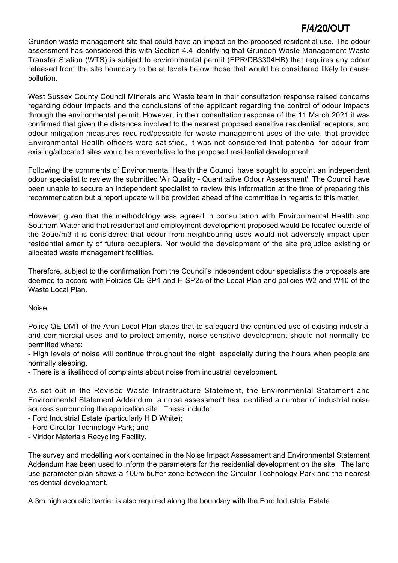Grundon waste management site that could have an impact on the proposed residential use. The odour assessment has considered this with Section 4.4 identifying that Grundon Waste Management Waste Transfer Station (WTS) is subject to environmental permit (EPR/DB3304HB) that requires any odour released from the site boundary to be at levels below those that would be considered likely to cause pollution.

West Sussex County Council Minerals and Waste team in their consultation response raised concerns regarding odour impacts and the conclusions of the applicant regarding the control of odour impacts through the environmental permit. However, in their consultation response of the 11 March 2021 it was confirmed that given the distances involved to the nearest proposed sensitive residential receptors, and odour mitigation measures required/possible for waste management uses of the site, that provided Environmental Health officers were satisfied, it was not considered that potential for odour from existing/allocated sites would be preventative to the proposed residential development.

Following the comments of Environmental Health the Council have sought to appoint an independent odour specialist to review the submitted 'Air Quality - Quantitative Odour Assessment'. The Council have been unable to secure an independent specialist to review this information at the time of preparing this recommendation but a report update will be provided ahead of the committee in regards to this matter.

However, given that the methodology was agreed in consultation with Environmental Health and Southern Water and that residential and employment development proposed would be located outside of the 3oue/m3 it is considered that odour from neighbouring uses would not adversely impact upon residential amenity of future occupiers. Nor would the development of the site prejudice existing or allocated waste management facilities.

Therefore, subject to the confirmation from the Council's independent odour specialists the proposals are deemed to accord with Policies QE SP1 and H SP2c of the Local Plan and policies W2 and W10 of the Waste Local Plan.

### Noise

Policy QE DM1 of the Arun Local Plan states that to safeguard the continued use of existing industrial and commercial uses and to protect amenity, noise sensitive development should not normally be permitted where:

- High levels of noise will continue throughout the night, especially during the hours when people are normally sleeping.

- There is a likelihood of complaints about noise from industrial development.

As set out in the Revised Waste Infrastructure Statement, the Environmental Statement and Environmental Statement Addendum, a noise assessment has identified a number of industrial noise sources surrounding the application site. These include:

- Ford Industrial Estate (particularly H D White);
- Ford Circular Technology Park; and
- Viridor Materials Recycling Facility.

The survey and modelling work contained in the Noise Impact Assessment and Environmental Statement Addendum has been used to inform the parameters for the residential development on the site. The land use parameter plan shows a 100m buffer zone between the Circular Technology Park and the nearest residential development.

A 3m high acoustic barrier is also required along the boundary with the Ford Industrial Estate.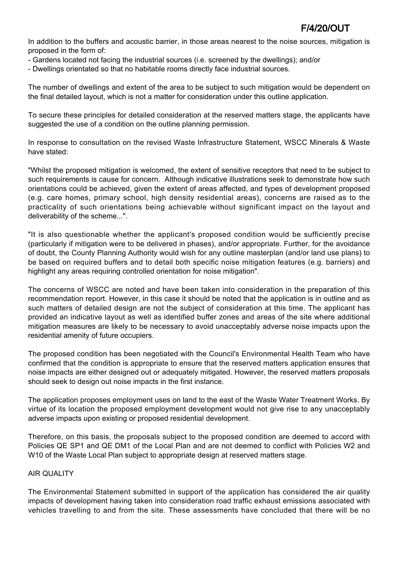In addition to the buffers and acoustic barrier, in those areas nearest to the noise sources, mitigation is proposed in the form of:

- Gardens located not facing the industrial sources (i.e. screened by the dwellings); and/or
- Dwellings orientated so that no habitable rooms directly face industrial sources.

The number of dwellings and extent of the area to be subject to such mitigation would be dependent on the final detailed layout, which is not a matter for consideration under this outline application.

To secure these principles for detailed consideration at the reserved matters stage, the applicants have suggested the use of a condition on the outline planning permission.

In response to consultation on the revised Waste Infrastructure Statement, WSCC Minerals & Waste have stated:

"Whilst the proposed mitigation is welcomed, the extent of sensitive receptors that need to be subject to such requirements is cause for concern. Although indicative illustrations seek to demonstrate how such orientations could be achieved, given the extent of areas affected, and types of development proposed (e.g. care homes, primary school, high density residential areas), concerns are raised as to the practicality of such orientations being achievable without significant impact on the layout and deliverability of the scheme...".

"It is also questionable whether the applicant's proposed condition would be sufficiently precise (particularly if mitigation were to be delivered in phases), and/or appropriate. Further, for the avoidance of doubt, the County Planning Authority would wish for any outline masterplan (and/or land use plans) to be based on required buffers and to detail both specific noise mitigation features (e.g. barriers) and highlight any areas requiring controlled orientation for noise mitigation".

The concerns of WSCC are noted and have been taken into consideration in the preparation of this recommendation report. However, in this case it should be noted that the application is in outline and as such matters of detailed design are not the subject of consideration at this time. The applicant has provided an indicative layout as well as identified buffer zones and areas of the site where additional mitigation measures are likely to be necessary to avoid unacceptably adverse noise impacts upon the residential amenity of future occupiers.

The proposed condition has been negotiated with the Council's Environmental Health Team who have confirmed that the condition is appropriate to ensure that the reserved matters application ensures that noise impacts are either designed out or adequately mitigated. However, the reserved matters proposals should seek to design out noise impacts in the first instance.

The application proposes employment uses on land to the east of the Waste Water Treatment Works. By virtue of its location the proposed employment development would not give rise to any unacceptably adverse impacts upon existing or proposed residential development.

Therefore, on this basis, the proposals subject to the proposed condition are deemed to accord with Policies QE SP1 and QE DM1 of the Local Plan and are not deemed to conflict with Policies W2 and W10 of the Waste Local Plan subject to appropriate design at reserved matters stage.

### AIR QUALITY

The Environmental Statement submitted in support of the application has considered the air quality impacts of development having taken into consideration road traffic exhaust emissions associated with vehicles travelling to and from the site. These assessments have concluded that there will be no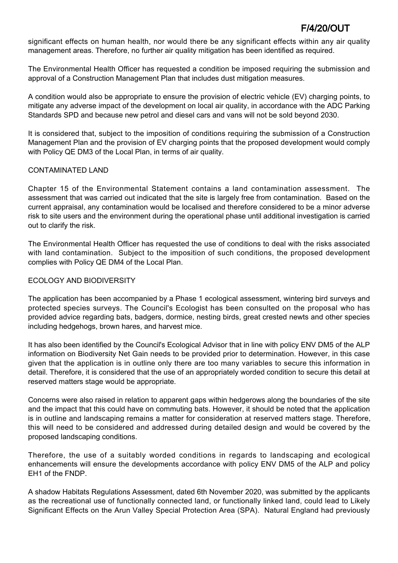significant effects on human health, nor would there be any significant effects within any air quality management areas. Therefore, no further air quality mitigation has been identified as required.

The Environmental Health Officer has requested a condition be imposed requiring the submission and approval of a Construction Management Plan that includes dust mitigation measures.

A condition would also be appropriate to ensure the provision of electric vehicle (EV) charging points, to mitigate any adverse impact of the development on local air quality, in accordance with the ADC Parking Standards SPD and because new petrol and diesel cars and vans will not be sold beyond 2030.

It is considered that, subject to the imposition of conditions requiring the submission of a Construction Management Plan and the provision of EV charging points that the proposed development would comply with Policy QE DM3 of the Local Plan, in terms of air quality.

### CONTAMINATED LAND

Chapter 15 of the Environmental Statement contains a land contamination assessment. The assessment that was carried out indicated that the site is largely free from contamination. Based on the current appraisal, any contamination would be localised and therefore considered to be a minor adverse risk to site users and the environment during the operational phase until additional investigation is carried out to clarify the risk.

The Environmental Health Officer has requested the use of conditions to deal with the risks associated with land contamination. Subject to the imposition of such conditions, the proposed development complies with Policy QE DM4 of the Local Plan.

### ECOLOGY AND BIODIVERSITY

The application has been accompanied by a Phase 1 ecological assessment, wintering bird surveys and protected species surveys. The Council's Ecologist has been consulted on the proposal who has provided advice regarding bats, badgers, dormice, nesting birds, great crested newts and other species including hedgehogs, brown hares, and harvest mice.

It has also been identified by the Council's Ecological Advisor that in line with policy ENV DM5 of the ALP information on Biodiversity Net Gain needs to be provided prior to determination. However, in this case given that the application is in outline only there are too many variables to secure this information in detail. Therefore, it is considered that the use of an appropriately worded condition to secure this detail at reserved matters stage would be appropriate.

Concerns were also raised in relation to apparent gaps within hedgerows along the boundaries of the site and the impact that this could have on commuting bats. However, it should be noted that the application is in outline and landscaping remains a matter for consideration at reserved matters stage. Therefore, this will need to be considered and addressed during detailed design and would be covered by the proposed landscaping conditions.

Therefore, the use of a suitably worded conditions in regards to landscaping and ecological enhancements will ensure the developments accordance with policy ENV DM5 of the ALP and policy EH1 of the FNDP.

A shadow Habitats Regulations Assessment, dated 6th November 2020, was submitted by the applicants as the recreational use of functionally connected land, or functionally linked land, could lead to Likely Significant Effects on the Arun Valley Special Protection Area (SPA). Natural England had previously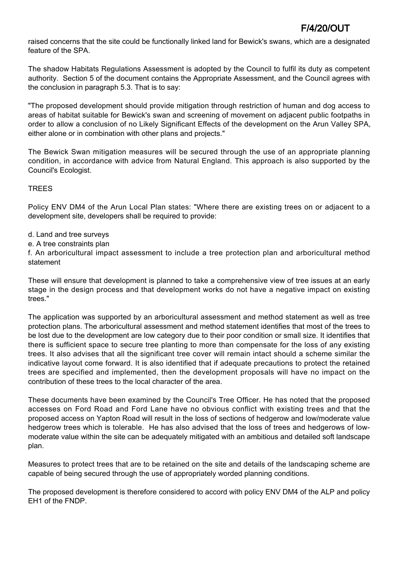raised concerns that the site could be functionally linked land for Bewick's swans, which are a designated feature of the SPA.

The shadow Habitats Regulations Assessment is adopted by the Council to fulfil its duty as competent authority. Section 5 of the document contains the Appropriate Assessment, and the Council agrees with the conclusion in paragraph 5.3. That is to say:

"The proposed development should provide mitigation through restriction of human and dog access to areas of habitat suitable for Bewick's swan and screening of movement on adjacent public footpaths in order to allow a conclusion of no Likely Significant Effects of the development on the Arun Valley SPA, either alone or in combination with other plans and projects."

The Bewick Swan mitigation measures will be secured through the use of an appropriate planning condition, in accordance with advice from Natural England. This approach is also supported by the Council's Ecologist.

## TREES

Policy ENV DM4 of the Arun Local Plan states: "Where there are existing trees on or adjacent to a development site, developers shall be required to provide:

- d. Land and tree surveys
- e. A tree constraints plan

f. An arboricultural impact assessment to include a tree protection plan and arboricultural method statement

These will ensure that development is planned to take a comprehensive view of tree issues at an early stage in the design process and that development works do not have a negative impact on existing trees."

The application was supported by an arboricultural assessment and method statement as well as tree protection plans. The arboricultural assessment and method statement identifies that most of the trees to be lost due to the development are low category due to their poor condition or small size. It identifies that there is sufficient space to secure tree planting to more than compensate for the loss of any existing trees. It also advises that all the significant tree cover will remain intact should a scheme similar the indicative layout come forward. It is also identified that if adequate precautions to protect the retained trees are specified and implemented, then the development proposals will have no impact on the contribution of these trees to the local character of the area.

These documents have been examined by the Council's Tree Officer. He has noted that the proposed accesses on Ford Road and Ford Lane have no obvious conflict with existing trees and that the proposed access on Yapton Road will result in the loss of sections of hedgerow and low/moderate value hedgerow trees which is tolerable. He has also advised that the loss of trees and hedgerows of lowmoderate value within the site can be adequately mitigated with an ambitious and detailed soft landscape plan.

Measures to protect trees that are to be retained on the site and details of the landscaping scheme are capable of being secured through the use of appropriately worded planning conditions.

The proposed development is therefore considered to accord with policy ENV DM4 of the ALP and policy EH1 of the FNDP.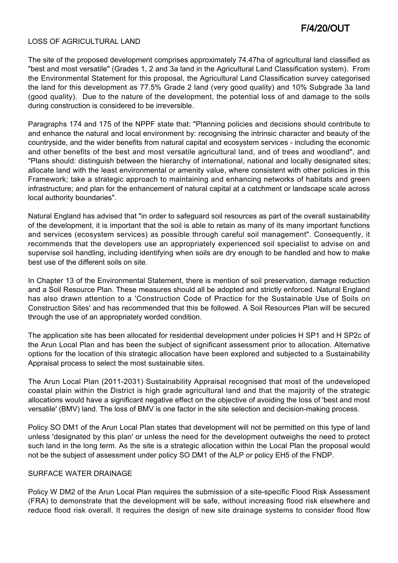#### LOSS OF AGRICULTURAL LAND

The site of the proposed development comprises approximately 74.47ha of agricultural land classified as "best and most versatile" (Grades 1, 2 and 3a land in the Agricultural Land Classification system). From the Environmental Statement for this proposal, the Agricultural Land Classification survey categorised the land for this development as 77.5% Grade 2 land (very good quality) and 10% Subgrade 3a land (good quality). Due to the nature of the development, the potential loss of and damage to the soils during construction is considered to be irreversible.

Paragraphs 174 and 175 of the NPPF state that: "Planning policies and decisions should contribute to and enhance the natural and local environment by: recognising the intrinsic character and beauty of the countryside, and the wider benefits from natural capital and ecosystem services - including the economic and other benefits of the best and most versatile agricultural land, and of trees and woodland", and "Plans should: distinguish between the hierarchy of international, national and locally designated sites; allocate land with the least environmental or amenity value, where consistent with other policies in this Framework; take a strategic approach to maintaining and enhancing networks of habitats and green infrastructure; and plan for the enhancement of natural capital at a catchment or landscape scale across local authority boundaries".

Natural England has advised that "in order to safeguard soil resources as part of the overall sustainability of the development, it is important that the soil is able to retain as many of its many important functions and services (ecosystem services) as possible through careful soil management". Consequently, it recommends that the developers use an appropriately experienced soil specialist to advise on and supervise soil handling, including identifying when soils are dry enough to be handled and how to make best use of the different soils on site.

In Chapter 13 of the Environmental Statement, there is mention of soil preservation, damage reduction and a Soil Resource Plan. These measures should all be adopted and strictly enforced. Natural England has also drawn attention to a 'Construction Code of Practice for the Sustainable Use of Soils on Construction Sites' and has recommended that this be followed. A Soil Resources Plan will be secured through the use of an appropriately worded condition.

The application site has been allocated for residential development under policies H SP1 and H SP2c of the Arun Local Plan and has been the subject of significant assessment prior to allocation. Alternative options for the location of this strategic allocation have been explored and subjected to a Sustainability Appraisal process to select the most sustainable sites.

The Arun Local Plan (2011-2031) Sustainability Appraisal recognised that most of the undeveloped coastal plain within the District is high grade agricultural land and that the majority of the strategic allocations would have a significant negative effect on the objective of avoiding the loss of 'best and most versatile' (BMV) land. The loss of BMV is one factor in the site selection and decision-making process.

Policy SO DM1 of the Arun Local Plan states that development will not be permitted on this type of land unless 'designated by this plan' or unless the need for the development outweighs the need to protect such land in the long term. As the site is a strategic allocation within the Local Plan the proposal would not be the subject of assessment under policy SO DM1 of the ALP or policy EH5 of the FNDP.

#### SURFACE WATER DRAINAGE

Policy W DM2 of the Arun Local Plan requires the submission of a site-specific Flood Risk Assessment (FRA) to demonstrate that the development will be safe, without increasing flood risk elsewhere and reduce flood risk overall. It requires the design of new site drainage systems to consider flood flow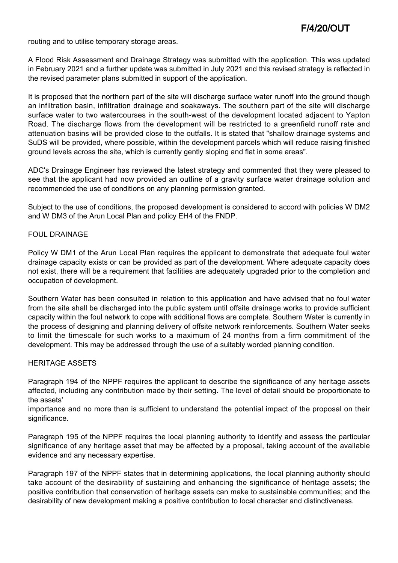routing and to utilise temporary storage areas.

A Flood Risk Assessment and Drainage Strategy was submitted with the application. This was updated in February 2021 and a further update was submitted in July 2021 and this revised strategy is reflected in the revised parameter plans submitted in support of the application.

It is proposed that the northern part of the site will discharge surface water runoff into the ground though an infiltration basin, infiltration drainage and soakaways. The southern part of the site will discharge surface water to two watercourses in the south-west of the development located adjacent to Yapton Road. The discharge flows from the development will be restricted to a greenfield runoff rate and attenuation basins will be provided close to the outfalls. It is stated that "shallow drainage systems and SuDS will be provided, where possible, within the development parcels which will reduce raising finished ground levels across the site, which is currently gently sloping and flat in some areas".

ADC's Drainage Engineer has reviewed the latest strategy and commented that they were pleased to see that the applicant had now provided an outline of a gravity surface water drainage solution and recommended the use of conditions on any planning permission granted.

Subject to the use of conditions, the proposed development is considered to accord with policies W DM2 and W DM3 of the Arun Local Plan and policy EH4 of the FNDP.

### FOUL DRAINAGE

Policy W DM1 of the Arun Local Plan requires the applicant to demonstrate that adequate foul water drainage capacity exists or can be provided as part of the development. Where adequate capacity does not exist, there will be a requirement that facilities are adequately upgraded prior to the completion and occupation of development.

Southern Water has been consulted in relation to this application and have advised that no foul water from the site shall be discharged into the public system until offsite drainage works to provide sufficient capacity within the foul network to cope with additional flows are complete. Southern Water is currently in the process of designing and planning delivery of offsite network reinforcements. Southern Water seeks to limit the timescale for such works to a maximum of 24 months from a firm commitment of the development. This may be addressed through the use of a suitably worded planning condition.

#### HERITAGE ASSETS

Paragraph 194 of the NPPF requires the applicant to describe the significance of any heritage assets affected, including any contribution made by their setting. The level of detail should be proportionate to the assets'

importance and no more than is sufficient to understand the potential impact of the proposal on their significance.

Paragraph 195 of the NPPF requires the local planning authority to identify and assess the particular significance of any heritage asset that may be affected by a proposal, taking account of the available evidence and any necessary expertise.

Paragraph 197 of the NPPF states that in determining applications, the local planning authority should take account of the desirability of sustaining and enhancing the significance of heritage assets; the positive contribution that conservation of heritage assets can make to sustainable communities; and the desirability of new development making a positive contribution to local character and distinctiveness.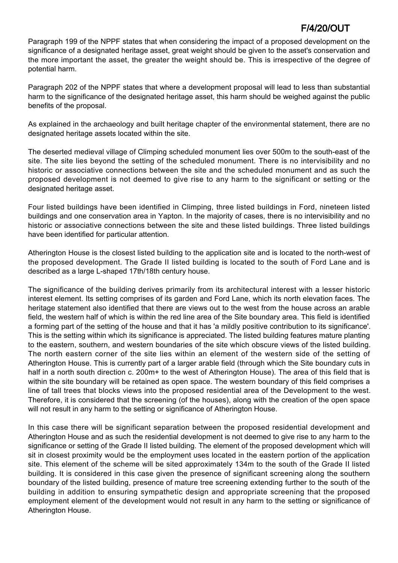Paragraph 199 of the NPPF states that when considering the impact of a proposed development on the significance of a designated heritage asset, great weight should be given to the asset's conservation and the more important the asset, the greater the weight should be. This is irrespective of the degree of potential harm.

Paragraph 202 of the NPPF states that where a development proposal will lead to less than substantial harm to the significance of the designated heritage asset, this harm should be weighed against the public benefits of the proposal.

As explained in the archaeology and built heritage chapter of the environmental statement, there are no designated heritage assets located within the site.

The deserted medieval village of Climping scheduled monument lies over 500m to the south-east of the site. The site lies beyond the setting of the scheduled monument. There is no intervisibility and no historic or associative connections between the site and the scheduled monument and as such the proposed development is not deemed to give rise to any harm to the significant or setting or the designated heritage asset.

Four listed buildings have been identified in Climping, three listed buildings in Ford, nineteen listed buildings and one conservation area in Yapton. In the majority of cases, there is no intervisibility and no historic or associative connections between the site and these listed buildings. Three listed buildings have been identified for particular attention.

Atherington House is the closest listed building to the application site and is located to the north-west of the proposed development. The Grade II listed building is located to the south of Ford Lane and is described as a large L-shaped 17th/18th century house.

The significance of the building derives primarily from its architectural interest with a lesser historic interest element. Its setting comprises of its garden and Ford Lane, which its north elevation faces. The heritage statement also identified that there are views out to the west from the house across an arable field, the western half of which is within the red line area of the Site boundary area. This field is identified a forming part of the setting of the house and that it has 'a mildly positive contribution to its significance'. This is the setting within which its significance is appreciated. The listed building features mature planting to the eastern, southern, and western boundaries of the site which obscure views of the listed building. The north eastern corner of the site lies within an element of the western side of the setting of Atherington House. This is currently part of a larger arable field (through which the Site boundary cuts in half in a north south direction c. 200m+ to the west of Atherington House). The area of this field that is within the site boundary will be retained as open space. The western boundary of this field comprises a line of tall trees that blocks views into the proposed residential area of the Development to the west. Therefore, it is considered that the screening (of the houses), along with the creation of the open space will not result in any harm to the setting or significance of Atherington House.

In this case there will be significant separation between the proposed residential development and Atherington House and as such the residential development is not deemed to give rise to any harm to the significance or setting of the Grade II listed building. The element of the proposed development which will sit in closest proximity would be the employment uses located in the eastern portion of the application site. This element of the scheme will be sited approximately 134m to the south of the Grade II listed building. It is considered in this case given the presence of significant screening along the southern boundary of the listed building, presence of mature tree screening extending further to the south of the building in addition to ensuring sympathetic design and appropriate screening that the proposed employment element of the development would not result in any harm to the setting or significance of Atherington House.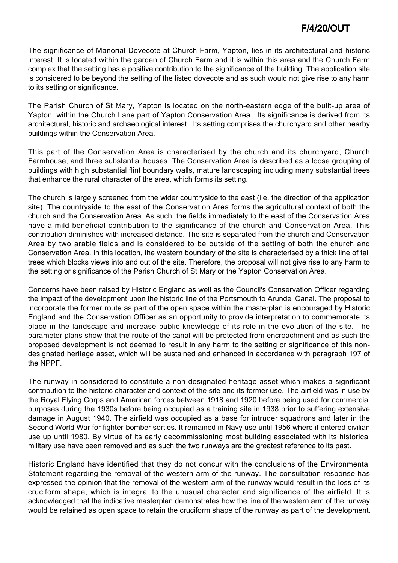The significance of Manorial Dovecote at Church Farm, Yapton, lies in its architectural and historic interest. It is located within the garden of Church Farm and it is within this area and the Church Farm complex that the setting has a positive contribution to the significance of the building. The application site is considered to be beyond the setting of the listed dovecote and as such would not give rise to any harm to its setting or significance.

The Parish Church of St Mary, Yapton is located on the north-eastern edge of the built-up area of Yapton, within the Church Lane part of Yapton Conservation Area. Its significance is derived from its architectural, historic and archaeological interest. Its setting comprises the churchyard and other nearby buildings within the Conservation Area.

This part of the Conservation Area is characterised by the church and its churchyard, Church Farmhouse, and three substantial houses. The Conservation Area is described as a loose grouping of buildings with high substantial flint boundary walls, mature landscaping including many substantial trees that enhance the rural character of the area, which forms its setting.

The church is largely screened from the wider countryside to the east (i.e. the direction of the application site). The countryside to the east of the Conservation Area forms the agricultural context of both the church and the Conservation Area. As such, the fields immediately to the east of the Conservation Area have a mild beneficial contribution to the significance of the church and Conservation Area. This contribution diminishes with increased distance. The site is separated from the church and Conservation Area by two arable fields and is considered to be outside of the setting of both the church and Conservation Area. In this location, the western boundary of the site is characterised by a thick line of tall trees which blocks views into and out of the site. Therefore, the proposal will not give rise to any harm to the setting or significance of the Parish Church of St Mary or the Yapton Conservation Area.

Concerns have been raised by Historic England as well as the Council's Conservation Officer regarding the impact of the development upon the historic line of the Portsmouth to Arundel Canal. The proposal to incorporate the former route as part of the open space within the masterplan is encouraged by Historic England and the Conservation Officer as an opportunity to provide interpretation to commemorate its place in the landscape and increase public knowledge of its role in the evolution of the site. The parameter plans show that the route of the canal will be protected from encroachment and as such the proposed development is not deemed to result in any harm to the setting or significance of this nondesignated heritage asset, which will be sustained and enhanced in accordance with paragraph 197 of the NPPF.

The runway in considered to constitute a non-designated heritage asset which makes a significant contribution to the historic character and context of the site and its former use. The airfield was in use by the Royal Flying Corps and American forces between 1918 and 1920 before being used for commercial purposes during the 1930s before being occupied as a training site in 1938 prior to suffering extensive damage in August 1940. The airfield was occupied as a base for intruder squadrons and later in the Second World War for fighter-bomber sorties. It remained in Navy use until 1956 where it entered civilian use up until 1980. By virtue of its early decommissioning most building associated with its historical military use have been removed and as such the two runways are the greatest reference to its past.

Historic England have identified that they do not concur with the conclusions of the Environmental Statement regarding the removal of the western arm of the runway. The consultation response has expressed the opinion that the removal of the western arm of the runway would result in the loss of its cruciform shape, which is integral to the unusual character and significance of the airfield. It is acknowledged that the indicative masterplan demonstrates how the line of the western arm of the runway would be retained as open space to retain the cruciform shape of the runway as part of the development.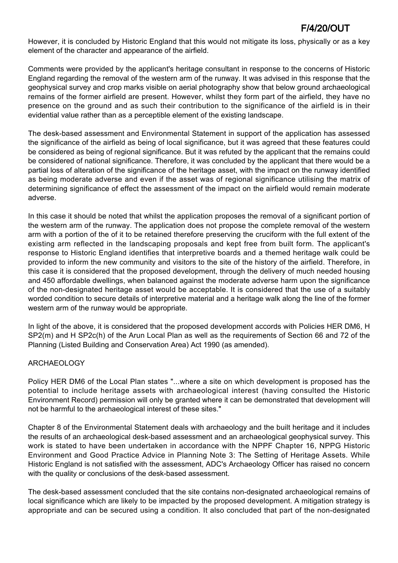However, it is concluded by Historic England that this would not mitigate its loss, physically or as a key element of the character and appearance of the airfield.

Comments were provided by the applicant's heritage consultant in response to the concerns of Historic England regarding the removal of the western arm of the runway. It was advised in this response that the geophysical survey and crop marks visible on aerial photography show that below ground archaeological remains of the former airfield are present. However, whilst they form part of the airfield, they have no presence on the ground and as such their contribution to the significance of the airfield is in their evidential value rather than as a perceptible element of the existing landscape.

The desk-based assessment and Environmental Statement in support of the application has assessed the significance of the airfield as being of local significance, but it was agreed that these features could be considered as being of regional significance. But it was refuted by the applicant that the remains could be considered of national significance. Therefore, it was concluded by the applicant that there would be a partial loss of alteration of the significance of the heritage asset, with the impact on the runway identified as being moderate adverse and even if the asset was of regional significance utilising the matrix of determining significance of effect the assessment of the impact on the airfield would remain moderate adverse.

In this case it should be noted that whilst the application proposes the removal of a significant portion of the western arm of the runway. The application does not propose the complete removal of the western arm with a portion of the of it to be retained therefore preserving the cruciform with the full extent of the existing arm reflected in the landscaping proposals and kept free from built form. The applicant's response to Historic England identifies that interpretive boards and a themed heritage walk could be provided to inform the new community and visitors to the site of the history of the airfield. Therefore, in this case it is considered that the proposed development, through the delivery of much needed housing and 450 affordable dwellings, when balanced against the moderate adverse harm upon the significance of the non-designated heritage asset would be acceptable. It is considered that the use of a suitably worded condition to secure details of interpretive material and a heritage walk along the line of the former western arm of the runway would be appropriate.

In light of the above, it is considered that the proposed development accords with Policies HER DM6, H SP2(m) and H SP2c(h) of the Arun Local Plan as well as the requirements of Section 66 and 72 of the Planning (Listed Building and Conservation Area) Act 1990 (as amended).

### ARCHAEOLOGY

Policy HER DM6 of the Local Plan states "...where a site on which development is proposed has the potential to include heritage assets with archaeological interest (having consulted the Historic Environment Record) permission will only be granted where it can be demonstrated that development will not be harmful to the archaeological interest of these sites."

Chapter 8 of the Environmental Statement deals with archaeology and the built heritage and it includes the results of an archaeological desk-based assessment and an archaeological geophysical survey. This work is stated to have been undertaken in accordance with the NPPF Chapter 16, NPPG Historic Environment and Good Practice Advice in Planning Note 3: The Setting of Heritage Assets. While Historic England is not satisfied with the assessment, ADC's Archaeology Officer has raised no concern with the quality or conclusions of the desk-based assessment.

The desk-based assessment concluded that the site contains non-designated archaeological remains of local significance which are likely to be impacted by the proposed development. A mitigation strategy is appropriate and can be secured using a condition. It also concluded that part of the non-designated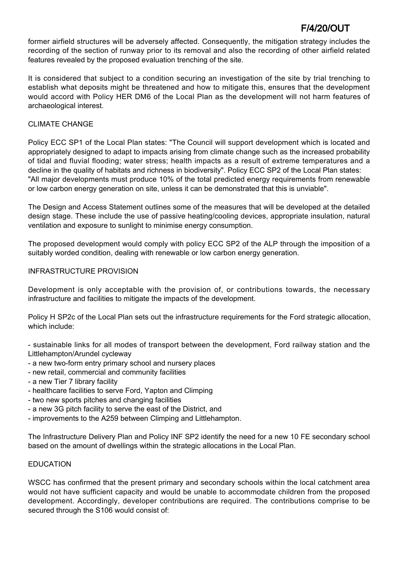former airfield structures will be adversely affected. Consequently, the mitigation strategy includes the recording of the section of runway prior to its removal and also the recording of other airfield related features revealed by the proposed evaluation trenching of the site.

It is considered that subject to a condition securing an investigation of the site by trial trenching to establish what deposits might be threatened and how to mitigate this, ensures that the development would accord with Policy HER DM6 of the Local Plan as the development will not harm features of archaeological interest.

### CLIMATE CHANGE

Policy ECC SP1 of the Local Plan states: "The Council will support development which is located and appropriately designed to adapt to impacts arising from climate change such as the increased probability of tidal and fluvial flooding; water stress; health impacts as a result of extreme temperatures and a decline in the quality of habitats and richness in biodiversity". Policy ECC SP2 of the Local Plan states: "All major developments must produce 10% of the total predicted energy requirements from renewable or low carbon energy generation on site, unless it can be demonstrated that this is unviable".

The Design and Access Statement outlines some of the measures that will be developed at the detailed design stage. These include the use of passive heating/cooling devices, appropriate insulation, natural ventilation and exposure to sunlight to minimise energy consumption.

The proposed development would comply with policy ECC SP2 of the ALP through the imposition of a suitably worded condition, dealing with renewable or low carbon energy generation.

### INFRASTRUCTURE PROVISION

Development is only acceptable with the provision of, or contributions towards, the necessary infrastructure and facilities to mitigate the impacts of the development.

Policy H SP2c of the Local Plan sets out the infrastructure requirements for the Ford strategic allocation, which include:

- sustainable links for all modes of transport between the development, Ford railway station and the Littlehampton/Arundel cycleway

- a new two-form entry primary school and nursery places
- new retail, commercial and community facilities
- a new Tier 7 library facility
- healthcare facilities to serve Ford, Yapton and Climping
- two new sports pitches and changing facilities
- a new 3G pitch facility to serve the east of the District, and
- improvements to the A259 between Climping and Littlehampton.

The Infrastructure Delivery Plan and Policy INF SP2 identify the need for a new 10 FE secondary school based on the amount of dwellings within the strategic allocations in the Local Plan.

### EDUCATION

WSCC has confirmed that the present primary and secondary schools within the local catchment area would not have sufficient capacity and would be unable to accommodate children from the proposed development. Accordingly, developer contributions are required. The contributions comprise to be secured through the S106 would consist of: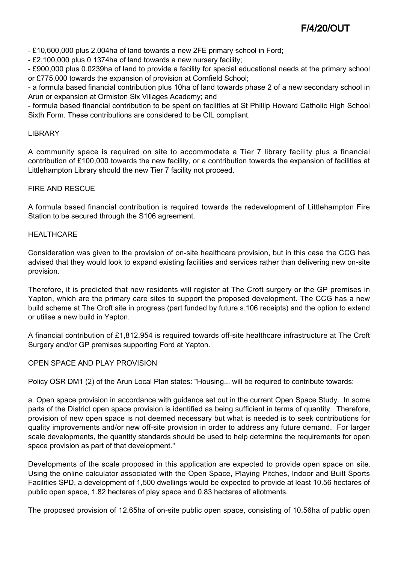- £10,600,000 plus 2.004ha of land towards a new 2FE primary school in Ford;

- £2,100,000 plus 0.1374ha of land towards a new nursery facility;

- £900,000 plus 0.0239ha of land to provide a facility for special educational needs at the primary school or £775,000 towards the expansion of provision at Cornfield School;

- a formula based financial contribution plus 10ha of land towards phase 2 of a new secondary school in Arun or expansion at Ormiston Six Villages Academy; and

- formula based financial contribution to be spent on facilities at St Phillip Howard Catholic High School Sixth Form. These contributions are considered to be CIL compliant.

#### LIBRARY

A community space is required on site to accommodate a Tier 7 library facility plus a financial contribution of £100,000 towards the new facility, or a contribution towards the expansion of facilities at Littlehampton Library should the new Tier 7 facility not proceed.

#### FIRE AND RESCUE

A formula based financial contribution is required towards the redevelopment of Littlehampton Fire Station to be secured through the S106 agreement.

#### **HEALTHCARE**

Consideration was given to the provision of on-site healthcare provision, but in this case the CCG has advised that they would look to expand existing facilities and services rather than delivering new on-site provision.

Therefore, it is predicted that new residents will register at The Croft surgery or the GP premises in Yapton, which are the primary care sites to support the proposed development. The CCG has a new build scheme at The Croft site in progress (part funded by future s.106 receipts) and the option to extend or utilise a new build in Yapton.

A financial contribution of £1,812,954 is required towards off-site healthcare infrastructure at The Croft Surgery and/or GP premises supporting Ford at Yapton.

#### OPEN SPACE AND PLAY PROVISION

Policy OSR DM1 (2) of the Arun Local Plan states: "Housing... will be required to contribute towards:

a. Open space provision in accordance with guidance set out in the current Open Space Study. In some parts of the District open space provision is identified as being sufficient in terms of quantity. Therefore, provision of new open space is not deemed necessary but what is needed is to seek contributions for quality improvements and/or new off-site provision in order to address any future demand. For larger scale developments, the quantity standards should be used to help determine the requirements for open space provision as part of that development."

Developments of the scale proposed in this application are expected to provide open space on site. Using the online calculator associated with the Open Space, Playing Pitches, Indoor and Built Sports Facilities SPD, a development of 1,500 dwellings would be expected to provide at least 10.56 hectares of public open space, 1.82 hectares of play space and 0.83 hectares of allotments.

The proposed provision of 12.65ha of on-site public open space, consisting of 10.56ha of public open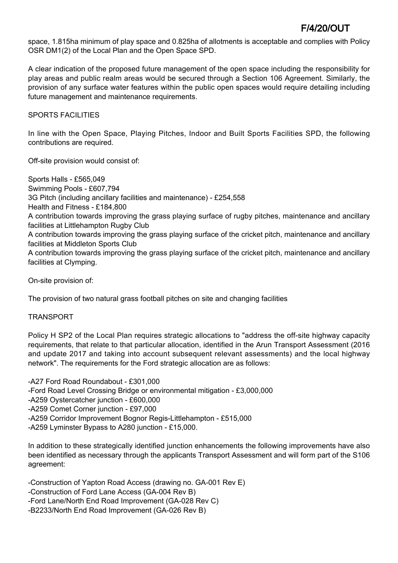space, 1.815ha minimum of play space and 0.825ha of allotments is acceptable and complies with Policy OSR DM1(2) of the Local Plan and the Open Space SPD.

A clear indication of the proposed future management of the open space including the responsibility for play areas and public realm areas would be secured through a Section 106 Agreement. Similarly, the provision of any surface water features within the public open spaces would require detailing including future management and maintenance requirements.

SPORTS FACILITIES

In line with the Open Space, Playing Pitches, Indoor and Built Sports Facilities SPD, the following contributions are required.

Off-site provision would consist of:

Sports Halls - £565,049 Swimming Pools - £607,794 3G Pitch (including ancillary facilities and maintenance) - £254,558 Health and Fitness - £184,800 A contribution towards improving the grass playing surface of rugby pitches, maintenance and ancillary facilities at Littlehampton Rugby Club A contribution towards improving the grass playing surface of the cricket pitch, maintenance and ancillary facilities at Middleton Sports Club A contribution towards improving the grass playing surface of the cricket pitch, maintenance and ancillary facilities at Clymping.

On-site provision of:

The provision of two natural grass football pitches on site and changing facilities

### TRANSPORT

Policy H SP2 of the Local Plan requires strategic allocations to "address the off-site highway capacity requirements, that relate to that particular allocation, identified in the Arun Transport Assessment (2016 and update 2017 and taking into account subsequent relevant assessments) and the local highway network". The requirements for the Ford strategic allocation are as follows:

-A27 Ford Road Roundabout - £301,000 -Ford Road Level Crossing Bridge or environmental mitigation - £3,000,000 -A259 Oystercatcher junction - £600,000 -A259 Comet Corner junction - £97,000 -A259 Corridor Improvement Bognor Regis-Littlehampton - £515,000 -A259 Lyminster Bypass to A280 junction - £15,000.

In addition to these strategically identified junction enhancements the following improvements have also been identified as necessary through the applicants Transport Assessment and will form part of the S106 agreement:

-Construction of Yapton Road Access (drawing no. GA-001 Rev E) -Construction of Ford Lane Access (GA-004 Rev B) -Ford Lane/North End Road Improvement (GA-028 Rev C) -B2233/North End Road Improvement (GA-026 Rev B)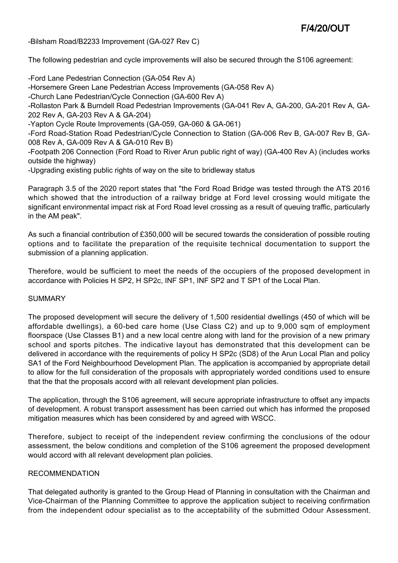-Bilsham Road/B2233 Improvement (GA-027 Rev C)

The following pedestrian and cycle improvements will also be secured through the S106 agreement:

-Ford Lane Pedestrian Connection (GA-054 Rev A) -Horsemere Green Lane Pedestrian Access Improvements (GA-058 Rev A) -Church Lane Pedestrian/Cycle Connection (GA-600 Rev A) -Rollaston Park & Burndell Road Pedestrian Improvements (GA-041 Rev A, GA-200, GA-201 Rev A, GA-202 Rev A, GA-203 Rev A & GA-204) -Yapton Cycle Route Improvements (GA-059, GA-060 & GA-061) -Ford Road-Station Road Pedestrian/Cycle Connection to Station (GA-006 Rev B, GA-007 Rev B, GA-008 Rev A, GA-009 Rev A & GA-010 Rev B) -Footpath 206 Connection (Ford Road to River Arun public right of way) (GA-400 Rev A) (includes works outside the highway)

-Upgrading existing public rights of way on the site to bridleway status

Paragraph 3.5 of the 2020 report states that "the Ford Road Bridge was tested through the ATS 2016 which showed that the introduction of a railway bridge at Ford level crossing would mitigate the significant environmental impact risk at Ford Road level crossing as a result of queuing traffic, particularly in the AM peak".

As such a financial contribution of £350,000 will be secured towards the consideration of possible routing options and to facilitate the preparation of the requisite technical documentation to support the submission of a planning application.

Therefore, would be sufficient to meet the needs of the occupiers of the proposed development in accordance with Policies H SP2, H SP2c, INF SP1, INF SP2 and T SP1 of the Local Plan.

### **SUMMARY**

The proposed development will secure the delivery of 1,500 residential dwellings (450 of which will be affordable dwellings), a 60-bed care home (Use Class C2) and up to 9,000 sqm of employment floorspace (Use Classes B1) and a new local centre along with land for the provision of a new primary school and sports pitches. The indicative layout has demonstrated that this development can be delivered in accordance with the requirements of policy H SP2c (SD8) of the Arun Local Plan and policy SA1 of the Ford Neighbourhood Development Plan. The application is accompanied by appropriate detail to allow for the full consideration of the proposals with appropriately worded conditions used to ensure that the that the proposals accord with all relevant development plan policies.

The application, through the S106 agreement, will secure appropriate infrastructure to offset any impacts of development. A robust transport assessment has been carried out which has informed the proposed mitigation measures which has been considered by and agreed with WSCC.

Therefore, subject to receipt of the independent review confirming the conclusions of the odour assessment, the below conditions and completion of the S106 agreement the proposed development would accord with all relevant development plan policies.

#### RECOMMENDATION

That delegated authority is granted to the Group Head of Planning in consultation with the Chairman and Vice-Chairman of the Planning Committee to approve the application subject to receiving confirmation from the independent odour specialist as to the acceptability of the submitted Odour Assessment.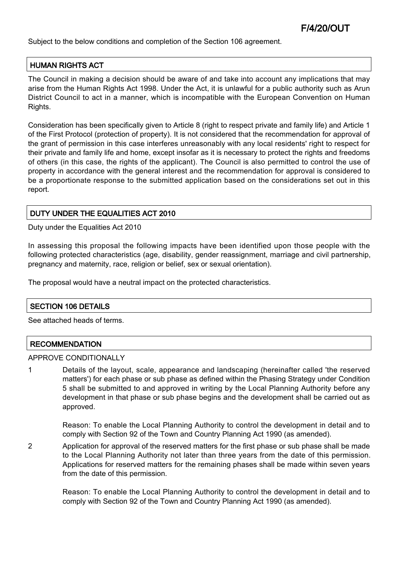Subject to the below conditions and completion of the Section 106 agreement.

### HUMAN RIGHTS ACT

The Council in making a decision should be aware of and take into account any implications that may arise from the Human Rights Act 1998. Under the Act, it is unlawful for a public authority such as Arun District Council to act in a manner, which is incompatible with the European Convention on Human Rights.

Consideration has been specifically given to Article 8 (right to respect private and family life) and Article 1 of the First Protocol (protection of property). It is not considered that the recommendation for approval of the grant of permission in this case interferes unreasonably with any local residents' right to respect for their private and family life and home, except insofar as it is necessary to protect the rights and freedoms of others (in this case, the rights of the applicant). The Council is also permitted to control the use of property in accordance with the general interest and the recommendation for approval is considered to be a proportionate response to the submitted application based on the considerations set out in this report.

### DUTY UNDER THE EQUALITIES ACT 2010

Duty under the Equalities Act 2010

In assessing this proposal the following impacts have been identified upon those people with the following protected characteristics (age, disability, gender reassignment, marriage and civil partnership, pregnancy and maternity, race, religion or belief, sex or sexual orientation).

The proposal would have a neutral impact on the protected characteristics.

### SECTION 106 DETAILS

See attached heads of terms.

### **RECOMMENDATION**

#### APPROVE CONDITIONALLY

1 Details of the layout, scale, appearance and landscaping (hereinafter called 'the reserved matters') for each phase or sub phase as defined within the Phasing Strategy under Condition 5 shall be submitted to and approved in writing by the Local Planning Authority before any development in that phase or sub phase begins and the development shall be carried out as approved.

Reason: To enable the Local Planning Authority to control the development in detail and to comply with Section 92 of the Town and Country Planning Act 1990 (as amended).

2 Application for approval of the reserved matters for the first phase or sub phase shall be made to the Local Planning Authority not later than three years from the date of this permission. Applications for reserved matters for the remaining phases shall be made within seven years from the date of this permission.

> Reason: To enable the Local Planning Authority to control the development in detail and to comply with Section 92 of the Town and Country Planning Act 1990 (as amended).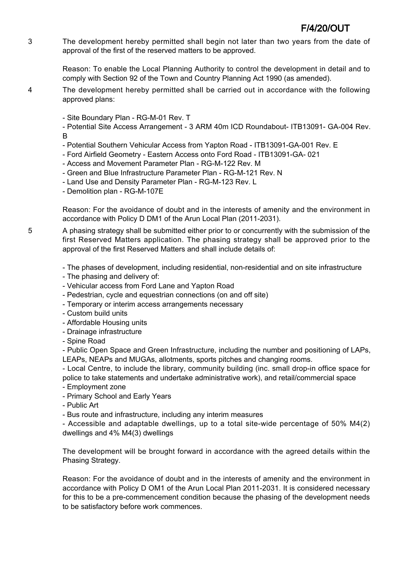3 The development hereby permitted shall begin not later than two years from the date of approval of the first of the reserved matters to be approved.

> Reason: To enable the Local Planning Authority to control the development in detail and to comply with Section 92 of the Town and Country Planning Act 1990 (as amended).

- 4 The development hereby permitted shall be carried out in accordance with the following approved plans:
	- Site Boundary Plan RG-M-01 Rev. T

- Potential Site Access Arrangement - 3 ARM 40m ICD Roundabout- ITB13091- GA-004 Rev. B

- Potential Southern Vehicular Access from Yapton Road ITB13091-GA-001 Rev. E
- Ford Airfield Geometry Eastern Access onto Ford Road ITB13091-GA- 021
- Access and Movement Parameter Plan RG-M-122 Rev. M
- Green and Blue Infrastructure Parameter Plan RG-M-121 Rev. N
- Land Use and Density Parameter Plan RG-M-123 Rev. L
- Demolition plan RG-M-107E

Reason: For the avoidance of doubt and in the interests of amenity and the environment in accordance with Policy D DM1 of the Arun Local Plan (2011-2031).

5 A phasing strategy shall be submitted either prior to or concurrently with the submission of the first Reserved Matters application. The phasing strategy shall be approved prior to the approval of the first Reserved Matters and shall include details of:

- The phases of development, including residential, non-residential and on site infrastructure

- The phasing and delivery of:
- Vehicular access from Ford Lane and Yapton Road
- Pedestrian, cycle and equestrian connections (on and off site)
- Temporary or interim access arrangements necessary
- Custom build units
- Affordable Housing units
- Drainage infrastructure
- Spine Road

- Public Open Space and Green Infrastructure, including the number and positioning of LAPs, LEAPs, NEAPs and MUGAs, allotments, sports pitches and changing rooms.

- Local Centre, to include the library, community building (inc. small drop-in office space for police to take statements and undertake administrative work), and retail/commercial space

- Employment zone
- Primary School and Early Years
- Public Art

- Bus route and infrastructure, including any interim measures

- Accessible and adaptable dwellings, up to a total site-wide percentage of 50% M4(2) dwellings and 4% M4(3) dwellings

The development will be brought forward in accordance with the agreed details within the Phasing Strategy.

Reason: For the avoidance of doubt and in the interests of amenity and the environment in accordance with Policy D OM1 of the Arun Local Plan 2011-2031. It is considered necessary for this to be a pre-commencement condition because the phasing of the development needs to be satisfactory before work commences.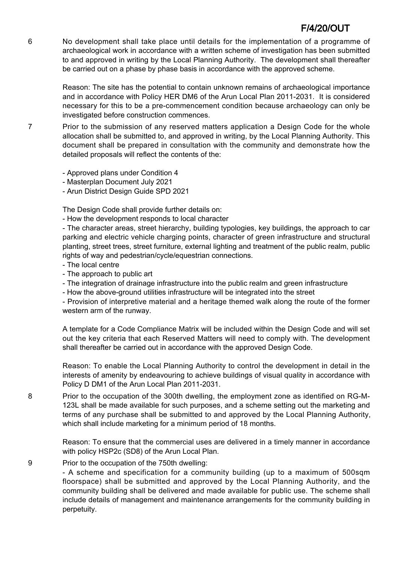6 No development shall take place until details for the implementation of a programme of archaeological work in accordance with a written scheme of investigation has been submitted to and approved in writing by the Local Planning Authority. The development shall thereafter be carried out on a phase by phase basis in accordance with the approved scheme.

> Reason: The site has the potential to contain unknown remains of archaeological importance and in accordance with Policy HER DM6 of the Arun Local Plan 2011-2031. It is considered necessary for this to be a pre-commencement condition because archaeology can only be investigated before construction commences.

7 Prior to the submission of any reserved matters application a Design Code for the whole allocation shall be submitted to, and approved in writing, by the Local Planning Authority. This document shall be prepared in consultation with the community and demonstrate how the detailed proposals will reflect the contents of the:

- Approved plans under Condition 4
- Masterplan Document July 2021
- Arun District Design Guide SPD 2021

The Design Code shall provide further details on:

- How the development responds to local character

- The character areas, street hierarchy, building typologies, key buildings, the approach to car parking and electric vehicle charging points, character of green infrastructure and structural planting, street trees, street furniture, external lighting and treatment of the public realm, public rights of way and pedestrian/cycle/equestrian connections.

- The local centre
- The approach to public art
- The integration of drainage infrastructure into the public realm and green infrastructure
- How the above-ground utilities infrastructure will be integrated into the street

- Provision of interpretive material and a heritage themed walk along the route of the former western arm of the runway.

A template for a Code Compliance Matrix will be included within the Design Code and will set out the key criteria that each Reserved Matters will need to comply with. The development shall thereafter be carried out in accordance with the approved Design Code.

Reason: To enable the Local Planning Authority to control the development in detail in the interests of amenity by endeavouring to achieve buildings of visual quality in accordance with Policy D DM1 of the Arun Local Plan 2011-2031.

8 Prior to the occupation of the 300th dwelling, the employment zone as identified on RG-M-123L shall be made available for such purposes, and a scheme setting out the marketing and terms of any purchase shall be submitted to and approved by the Local Planning Authority, which shall include marketing for a minimum period of 18 months.

> Reason: To ensure that the commercial uses are delivered in a timely manner in accordance with policy HSP2c (SD8) of the Arun Local Plan.

9 Prior to the occupation of the 750th dwelling:

- A scheme and specification for a community building (up to a maximum of 500sqm floorspace) shall be submitted and approved by the Local Planning Authority, and the community building shall be delivered and made available for public use. The scheme shall include details of management and maintenance arrangements for the community building in perpetuity.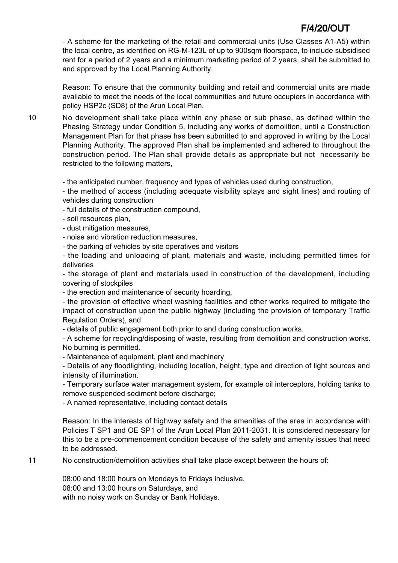- A scheme for the marketing of the retail and commercial units (Use Classes A1-A5) within the local centre, as identified on RG-M-123L of up to 900sqm floorspace, to include subsidised rent for a period of 2 years and a minimum marketing period of 2 years, shall be submitted to and approved by the Local Planning Authority.

Reason: To ensure that the community building and retail and commercial units are made available to meet the needs of the local communities and future occupiers in accordance with policy HSP2c (SD8) of the Arun Local Plan.

10 No development shall take place within any phase or sub phase, as defined within the Phasing Strategy under Condition 5, including any works of demolition, until a Construction Management Plan for that phase has been submitted to and approved in writing by the Local Planning Authority. The approved Plan shall be implemented and adhered to throughout the construction period. The Plan shall provide details as appropriate but not necessarily be restricted to the following matters,

- the anticipated number, frequency and types of vehicles used during construction,

- the method of access (including adequate visibility splays and sight lines) and routing of vehicles during construction

- full details of the construction compound,

- soil resources plan,

- dust mitigation measures,

- noise and vibration reduction measures,

- the parking of vehicles by site operatives and visitors

- the loading and unloading of plant, materials and waste, including permitted times for deliveries

- the storage of plant and materials used in construction of the development, including covering of stockpiles

- the erection and maintenance of security hoarding,

- the provision of effective wheel washing facilities and other works required to mitigate the impact of construction upon the public highway (including the provision of temporary Traffic Regulation Orders), and

- details of public engagement both prior to and during construction works.

- A scheme for recycling/disposing of waste, resulting from demolition and construction works. No burning is permitted.

- Maintenance of equipment, plant and machinery

- Details of any floodlighting, including location, height, type and direction of light sources and intensity of illumination.

- Temporary surface water management system, for example oil interceptors, holding tanks to remove suspended sediment before discharge;

- A named representative, including contact details

Reason: In the interests of highway safety and the amenities of the area in accordance with Policies T SP1 and OE SP1 of the Arun Local Plan 2011-2031. It is considered necessary for this to be a pre-commencement condition because of the safety and amenity issues that need to be addressed.

11 No construction/demolition activities shall take place except between the hours of:

08:00 and 18:00 hours on Mondays to Fridays inclusive, 08:00 and 13:00 hours on Saturdays, and with no noisy work on Sunday or Bank Holidays.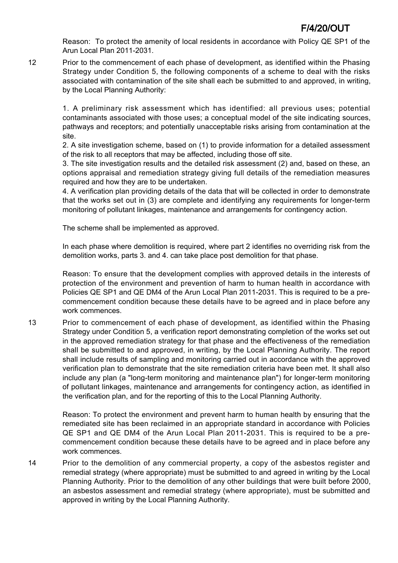Reason: To protect the amenity of local residents in accordance with Policy QE SP1 of the Arun Local Plan 2011-2031.

12 Prior to the commencement of each phase of development, as identified within the Phasing Strategy under Condition 5, the following components of a scheme to deal with the risks associated with contamination of the site shall each be submitted to and approved, in writing, by the Local Planning Authority:

> 1. A preliminary risk assessment which has identified: all previous uses; potential contaminants associated with those uses; a conceptual model of the site indicating sources, pathways and receptors; and potentially unacceptable risks arising from contamination at the site.

> 2. A site investigation scheme, based on (1) to provide information for a detailed assessment of the risk to all receptors that may be affected, including those off site.

> 3. The site investigation results and the detailed risk assessment (2) and, based on these, an options appraisal and remediation strategy giving full details of the remediation measures required and how they are to be undertaken.

> 4. A verification plan providing details of the data that will be collected in order to demonstrate that the works set out in (3) are complete and identifying any requirements for longer-term monitoring of pollutant linkages, maintenance and arrangements for contingency action.

The scheme shall be implemented as approved.

In each phase where demolition is required, where part 2 identifies no overriding risk from the demolition works, parts 3. and 4. can take place post demolition for that phase.

Reason: To ensure that the development complies with approved details in the interests of protection of the environment and prevention of harm to human health in accordance with Policies QE SP1 and QE DM4 of the Arun Local Plan 2011-2031. This is required to be a precommencement condition because these details have to be agreed and in place before any work commences.

13 Prior to commencement of each phase of development, as identified within the Phasing Strategy under Condition 5, a verification report demonstrating completion of the works set out in the approved remediation strategy for that phase and the effectiveness of the remediation shall be submitted to and approved, in writing, by the Local Planning Authority. The report shall include results of sampling and monitoring carried out in accordance with the approved verification plan to demonstrate that the site remediation criteria have been met. It shall also include any plan (a "long-term monitoring and maintenance plan") for longer-term monitoring of pollutant linkages, maintenance and arrangements for contingency action, as identified in the verification plan, and for the reporting of this to the Local Planning Authority.

Reason: To protect the environment and prevent harm to human health by ensuring that the remediated site has been reclaimed in an appropriate standard in accordance with Policies QE SP1 and QE DM4 of the Arun Local Plan 2011-2031. This is required to be a precommencement condition because these details have to be agreed and in place before any work commences.

14 Prior to the demolition of any commercial property, a copy of the asbestos register and remedial strategy (where appropriate) must be submitted to and agreed in writing by the Local Planning Authority. Prior to the demolition of any other buildings that were built before 2000, an asbestos assessment and remedial strategy (where appropriate), must be submitted and approved in writing by the Local Planning Authority.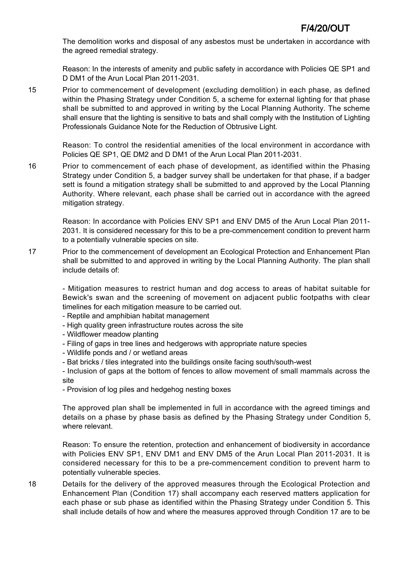The demolition works and disposal of any asbestos must be undertaken in accordance with the agreed remedial strategy.

Reason: In the interests of amenity and public safety in accordance with Policies QE SP1 and D DM1 of the Arun Local Plan 2011-2031.

15 Prior to commencement of development (excluding demolition) in each phase, as defined within the Phasing Strategy under Condition 5, a scheme for external lighting for that phase shall be submitted to and approved in writing by the Local Planning Authority. The scheme shall ensure that the lighting is sensitive to bats and shall comply with the Institution of Lighting Professionals Guidance Note for the Reduction of Obtrusive Light.

Reason: To control the residential amenities of the local environment in accordance with Policies QE SP1, QE DM2 and D DM1 of the Arun Local Plan 2011-2031.

16 Prior to commencement of each phase of development, as identified within the Phasing Strategy under Condition 5, a badger survey shall be undertaken for that phase, if a badger sett is found a mitigation strategy shall be submitted to and approved by the Local Planning Authority. Where relevant, each phase shall be carried out in accordance with the agreed mitigation strategy.

Reason: In accordance with Policies ENV SP1 and ENV DM5 of the Arun Local Plan 2011- 2031. It is considered necessary for this to be a pre-commencement condition to prevent harm to a potentially vulnerable species on site.

17 Prior to the commencement of development an Ecological Protection and Enhancement Plan shall be submitted to and approved in writing by the Local Planning Authority. The plan shall include details of:

- Mitigation measures to restrict human and dog access to areas of habitat suitable for Bewick's swan and the screening of movement on adjacent public footpaths with clear timelines for each mitigation measure to be carried out.

- Reptile and amphibian habitat management
- High quality green infrastructure routes across the site
- Wildflower meadow planting
- Filing of gaps in tree lines and hedgerows with appropriate nature species
- Wildlife ponds and / or wetland areas
- Bat bricks / tiles integrated into the buildings onsite facing south/south-west

- Inclusion of gaps at the bottom of fences to allow movement of small mammals across the site

- Provision of log piles and hedgehog nesting boxes

The approved plan shall be implemented in full in accordance with the agreed timings and details on a phase by phase basis as defined by the Phasing Strategy under Condition 5, where relevant.

Reason: To ensure the retention, protection and enhancement of biodiversity in accordance with Policies ENV SP1, ENV DM1 and ENV DM5 of the Arun Local Plan 2011-2031. It is considered necessary for this to be a pre-commencement condition to prevent harm to potentially vulnerable species.

18 Details for the delivery of the approved measures through the Ecological Protection and Enhancement Plan (Condition 17) shall accompany each reserved matters application for each phase or sub phase as identified within the Phasing Strategy under Condition 5. This shall include details of how and where the measures approved through Condition 17 are to be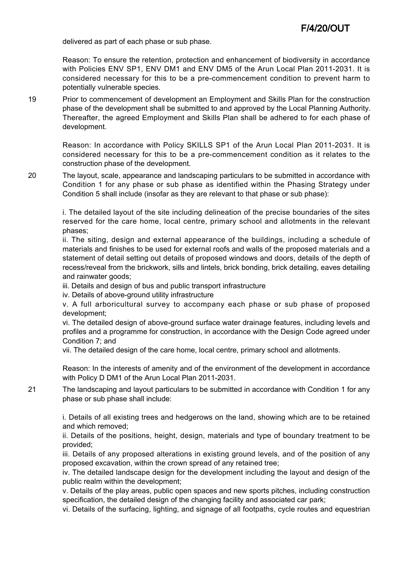delivered as part of each phase or sub phase.

Reason: To ensure the retention, protection and enhancement of biodiversity in accordance with Policies ENV SP1, ENV DM1 and ENV DM5 of the Arun Local Plan 2011-2031. It is considered necessary for this to be a pre-commencement condition to prevent harm to potentially vulnerable species.

19 Prior to commencement of development an Employment and Skills Plan for the construction phase of the development shall be submitted to and approved by the Local Planning Authority. Thereafter, the agreed Employment and Skills Plan shall be adhered to for each phase of development.

> Reason: In accordance with Policy SKILLS SP1 of the Arun Local Plan 2011-2031. It is considered necessary for this to be a pre-commencement condition as it relates to the construction phase of the development.

20 The layout, scale, appearance and landscaping particulars to be submitted in accordance with Condition 1 for any phase or sub phase as identified within the Phasing Strategy under Condition 5 shall include (insofar as they are relevant to that phase or sub phase):

> i. The detailed layout of the site including delineation of the precise boundaries of the sites reserved for the care home, local centre, primary school and allotments in the relevant phases;

> ii. The siting, design and external appearance of the buildings, including a schedule of materials and finishes to be used for external roofs and walls of the proposed materials and a statement of detail setting out details of proposed windows and doors, details of the depth of recess/reveal from the brickwork, sills and lintels, brick bonding, brick detailing, eaves detailing and rainwater goods;

iii. Details and design of bus and public transport infrastructure

iv. Details of above-ground utility infrastructure

v. A full arboricultural survey to accompany each phase or sub phase of proposed development;

vi. The detailed design of above-ground surface water drainage features, including levels and profiles and a programme for construction, in accordance with the Design Code agreed under Condition 7; and

vii. The detailed design of the care home, local centre, primary school and allotments.

Reason: In the interests of amenity and of the environment of the development in accordance with Policy D DM1 of the Arun Local Plan 2011-2031.

21 The landscaping and layout particulars to be submitted in accordance with Condition 1 for any phase or sub phase shall include:

> i. Details of all existing trees and hedgerows on the land, showing which are to be retained and which removed;

> ii. Details of the positions, height, design, materials and type of boundary treatment to be provided;

> iii. Details of any proposed alterations in existing ground levels, and of the position of any proposed excavation, within the crown spread of any retained tree;

> iv. The detailed landscape design for the development including the layout and design of the public realm within the development;

> v. Details of the play areas, public open spaces and new sports pitches, including construction specification, the detailed design of the changing facility and associated car park;

> vi. Details of the surfacing, lighting, and signage of all footpaths, cycle routes and equestrian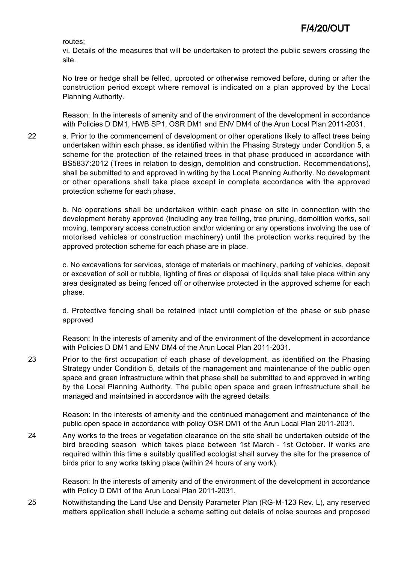routes;

vi. Details of the measures that will be undertaken to protect the public sewers crossing the site.

No tree or hedge shall be felled, uprooted or otherwise removed before, during or after the construction period except where removal is indicated on a plan approved by the Local Planning Authority.

Reason: In the interests of amenity and of the environment of the development in accordance with Policies D DM1, HWB SP1, OSR DM1 and ENV DM4 of the Arun Local Plan 2011-2031.

22 a. Prior to the commencement of development or other operations likely to affect trees being undertaken within each phase, as identified within the Phasing Strategy under Condition 5, a scheme for the protection of the retained trees in that phase produced in accordance with BS5837:2012 (Trees in relation to design, demolition and construction. Recommendations), shall be submitted to and approved in writing by the Local Planning Authority. No development or other operations shall take place except in complete accordance with the approved protection scheme for each phase.

> b. No operations shall be undertaken within each phase on site in connection with the development hereby approved (including any tree felling, tree pruning, demolition works, soil moving, temporary access construction and/or widening or any operations involving the use of motorised vehicles or construction machinery) until the protection works required by the approved protection scheme for each phase are in place.

> c. No excavations for services, storage of materials or machinery, parking of vehicles, deposit or excavation of soil or rubble, lighting of fires or disposal of liquids shall take place within any area designated as being fenced off or otherwise protected in the approved scheme for each phase.

> d. Protective fencing shall be retained intact until completion of the phase or sub phase approved

> Reason: In the interests of amenity and of the environment of the development in accordance with Policies D DM1 and ENV DM4 of the Arun Local Plan 2011-2031.

23 Prior to the first occupation of each phase of development, as identified on the Phasing Strategy under Condition 5, details of the management and maintenance of the public open space and green infrastructure within that phase shall be submitted to and approved in writing by the Local Planning Authority. The public open space and green infrastructure shall be managed and maintained in accordance with the agreed details.

> Reason: In the interests of amenity and the continued management and maintenance of the public open space in accordance with policy OSR DM1 of the Arun Local Plan 2011-2031.

24 Any works to the trees or vegetation clearance on the site shall be undertaken outside of the bird breeding season which takes place between 1st March - 1st October. If works are required within this time a suitably qualified ecologist shall survey the site for the presence of birds prior to any works taking place (within 24 hours of any work).

> Reason: In the interests of amenity and of the environment of the development in accordance with Policy D DM1 of the Arun Local Plan 2011-2031.

25 Notwithstanding the Land Use and Density Parameter Plan (RG-M-123 Rev. L), any reserved matters application shall include a scheme setting out details of noise sources and proposed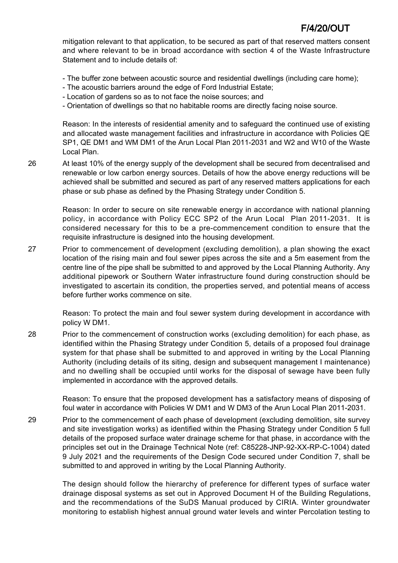mitigation relevant to that application, to be secured as part of that reserved matters consent and where relevant to be in broad accordance with section 4 of the Waste Infrastructure Statement and to include details of:

- The buffer zone between acoustic source and residential dwellings (including care home);
- The acoustic barriers around the edge of Ford Industrial Estate;
- Location of gardens so as to not face the noise sources; and
- Orientation of dwellings so that no habitable rooms are directly facing noise source.

Reason: In the interests of residential amenity and to safeguard the continued use of existing and allocated waste management facilities and infrastructure in accordance with Policies QE SP1, QE DM1 and WM DM1 of the Arun Local Plan 2011-2031 and W2 and W10 of the Waste Local Plan.

26 At least 10% of the energy supply of the development shall be secured from decentralised and renewable or low carbon energy sources. Details of how the above energy reductions will be achieved shall be submitted and secured as part of any reserved matters applications for each phase or sub phase as defined by the Phasing Strategy under Condition 5.

> Reason: In order to secure on site renewable energy in accordance with national planning policy, in accordance with Policy ECC SP2 of the Arun Local Plan 2011-2031. It is considered necessary for this to be a pre-commencement condition to ensure that the requisite infrastructure is designed into the housing development.

27 Prior to commencement of development (excluding demolition), a plan showing the exact location of the rising main and foul sewer pipes across the site and a 5m easement from the centre line of the pipe shall be submitted to and approved by the Local Planning Authority. Any additional pipework or Southern Water infrastructure found during construction should be investigated to ascertain its condition, the properties served, and potential means of access before further works commence on site.

> Reason: To protect the main and foul sewer system during development in accordance with policy W DM1.

28 Prior to the commencement of construction works (excluding demolition) for each phase, as identified within the Phasing Strategy under Condition 5, details of a proposed foul drainage system for that phase shall be submitted to and approved in writing by the Local Planning Authority (including details of its siting, design and subsequent management I maintenance) and no dwelling shall be occupied until works for the disposal of sewage have been fully implemented in accordance with the approved details.

> Reason: To ensure that the proposed development has a satisfactory means of disposing of foul water in accordance with Policies W DM1 and W DM3 of the Arun Local Plan 2011-2031.

29 Prior to the commencement of each phase of development (excluding demolition, site survey and site investigation works) as identified within the Phasing Strategy under Condition 5 full details of the proposed surface water drainage scheme for that phase, in accordance with the principles set out in the Drainage Technical Note (ref: C85228-JNP-92-XX-RP-C-1004) dated 9 July 2021 and the requirements of the Design Code secured under Condition 7, shall be submitted to and approved in writing by the Local Planning Authority.

> The design should follow the hierarchy of preference for different types of surface water drainage disposal systems as set out in Approved Document H of the Building Regulations, and the recommendations of the SuDS Manual produced by CIRIA. Winter groundwater monitoring to establish highest annual ground water levels and winter Percolation testing to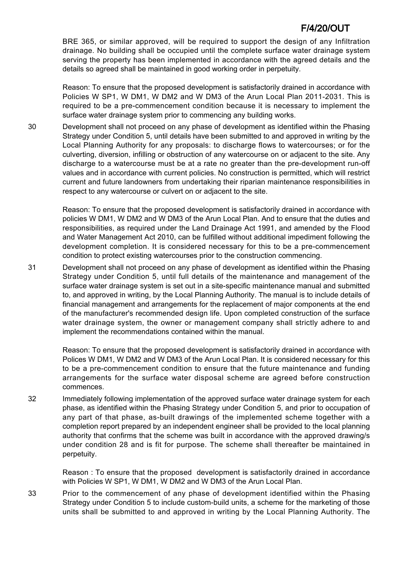BRE 365, or similar approved, will be required to support the design of any Infiltration drainage. No building shall be occupied until the complete surface water drainage system serving the property has been implemented in accordance with the agreed details and the details so agreed shall be maintained in good working order in perpetuity.

Reason: To ensure that the proposed development is satisfactorily drained in accordance with Policies W SP1, W DM1, W DM2 and W DM3 of the Arun Local Plan 2011-2031. This is required to be a pre-commencement condition because it is necessary to implement the surface water drainage system prior to commencing any building works.

30 Development shall not proceed on any phase of development as identified within the Phasing Strategy under Condition 5, until details have been submitted to and approved in writing by the Local Planning Authority for any proposals: to discharge flows to watercourses; or for the culverting, diversion, infilling or obstruction of any watercourse on or adjacent to the site. Any discharge to a watercourse must be at a rate no greater than the pre-development run-off values and in accordance with current policies. No construction is permitted, which will restrict current and future landowners from undertaking their riparian maintenance responsibilities in respect to any watercourse or culvert on or adjacent to the site.

> Reason: To ensure that the proposed development is satisfactorily drained in accordance with policies W DM1, W DM2 and W DM3 of the Arun Local Plan. And to ensure that the duties and responsibilities, as required under the Land Drainage Act 1991, and amended by the Flood and Water Management Act 2010, can be fulfilled without additional impediment following the development completion. It is considered necessary for this to be a pre-commencement condition to protect existing watercourses prior to the construction commencing.

31 Development shall not proceed on any phase of development as identified within the Phasing Strategy under Condition 5, until full details of the maintenance and management of the surface water drainage system is set out in a site-specific maintenance manual and submitted to, and approved in writing, by the Local Planning Authority. The manual is to include details of financial management and arrangements for the replacement of major components at the end of the manufacturer's recommended design life. Upon completed construction of the surface water drainage system, the owner or management company shall strictly adhere to and implement the recommendations contained within the manual.

> Reason: To ensure that the proposed development is satisfactorily drained in accordance with Polices W DM1, W DM2 and W DM3 of the Arun Local Plan. It is considered necessary for this to be a pre-commencement condition to ensure that the future maintenance and funding arrangements for the surface water disposal scheme are agreed before construction commences.

32 Immediately following implementation of the approved surface water drainage system for each phase, as identified within the Phasing Strategy under Condition 5, and prior to occupation of any part of that phase, as-built drawings of the implemented scheme together with a completion report prepared by an independent engineer shall be provided to the local planning authority that confirms that the scheme was built in accordance with the approved drawing/s under condition 28 and is fit for purpose. The scheme shall thereafter be maintained in perpetuity.

> Reason : To ensure that the proposed development is satisfactorily drained in accordance with Policies W SP1, W DM1, W DM2 and W DM3 of the Arun Local Plan.

33 Prior to the commencement of any phase of development identified within the Phasing Strategy under Condition 5 to include custom-build units, a scheme for the marketing of those units shall be submitted to and approved in writing by the Local Planning Authority. The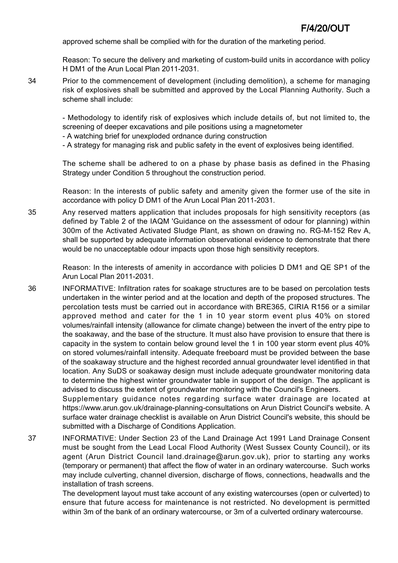approved scheme shall be complied with for the duration of the marketing period.

Reason: To secure the delivery and marketing of custom-build units in accordance with policy H DM1 of the Arun Local Plan 2011-2031.

34 Prior to the commencement of development (including demolition), a scheme for managing risk of explosives shall be submitted and approved by the Local Planning Authority. Such a scheme shall include:

> - Methodology to identify risk of explosives which include details of, but not limited to, the screening of deeper excavations and pile positions using a magnetometer

- A watching brief for unexploded ordnance during construction

- A strategy for managing risk and public safety in the event of explosives being identified.

The scheme shall be adhered to on a phase by phase basis as defined in the Phasing Strategy under Condition 5 throughout the construction period.

Reason: In the interests of public safety and amenity given the former use of the site in accordance with policy D DM1 of the Arun Local Plan 2011-2031.

35 Any reserved matters application that includes proposals for high sensitivity receptors (as defined by Table 2 of the IAQM 'Guidance on the assessment of odour for planning) within 300m of the Activated Activated Sludge Plant, as shown on drawing no. RG-M-152 Rev A, shall be supported by adequate information observational evidence to demonstrate that there would be no unacceptable odour impacts upon those high sensitivity receptors.

> Reason: In the interests of amenity in accordance with policies D DM1 and QE SP1 of the Arun Local Plan 2011-2031.

36 INFORMATIVE: Infiltration rates for soakage structures are to be based on percolation tests undertaken in the winter period and at the location and depth of the proposed structures. The percolation tests must be carried out in accordance with BRE365, CIRIA R156 or a similar approved method and cater for the 1 in 10 year storm event plus 40% on stored volumes/rainfall intensity (allowance for climate change) between the invert of the entry pipe to the soakaway, and the base of the structure. It must also have provision to ensure that there is capacity in the system to contain below ground level the 1 in 100 year storm event plus 40% on stored volumes/rainfall intensity. Adequate freeboard must be provided between the base of the soakaway structure and the highest recorded annual groundwater level identified in that location. Any SuDS or soakaway design must include adequate groundwater monitoring data to determine the highest winter groundwater table in support of the design. The applicant is advised to discuss the extent of groundwater monitoring with the Council's Engineers.

Supplementary guidance notes regarding surface water drainage are located at https://www.arun.gov.uk/drainage-planning-consultations on Arun District Council's website. A surface water drainage checklist is available on Arun District Council's website, this should be submitted with a Discharge of Conditions Application.

37 INFORMATIVE: Under Section 23 of the Land Drainage Act 1991 Land Drainage Consent must be sought from the Lead Local Flood Authority (West Sussex County Council), or its agent (Arun District Council land.drainage@arun.gov.uk), prior to starting any works (temporary or permanent) that affect the flow of water in an ordinary watercourse. Such works may include culverting, channel diversion, discharge of flows, connections, headwalls and the installation of trash screens.

> The development layout must take account of any existing watercourses (open or culverted) to ensure that future access for maintenance is not restricted. No development is permitted within 3m of the bank of an ordinary watercourse, or 3m of a culverted ordinary watercourse.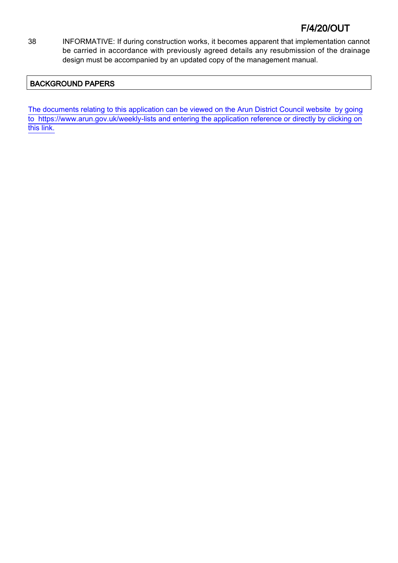38 INFORMATIVE: If during construction works, it becomes apparent that implementation cannot be carried in accordance with previously agreed details any resubmission of the drainage design must be accompanied by an updated copy of the management manual.

## BACKGROUND PAPERS

[The documents relating to this application can be viewed on the Arun District Council website by going](http://www1.arun.gov.uk/planrec/index.cfm?tpkey=eOcella&user_key_1=F/4/20/OUT&keyscheme=planning) [to https://www.arun.gov.uk/weekly-lists and entering the application reference or directly by clicking on](http://www1.arun.gov.uk/planrec/index.cfm?tpkey=eOcella&user_key_1=F/4/20/OUT&keyscheme=planning) [this link.](http://www1.arun.gov.uk/planrec/index.cfm?tpkey=eOcella&user_key_1=F/4/20/OUT&keyscheme=planning)